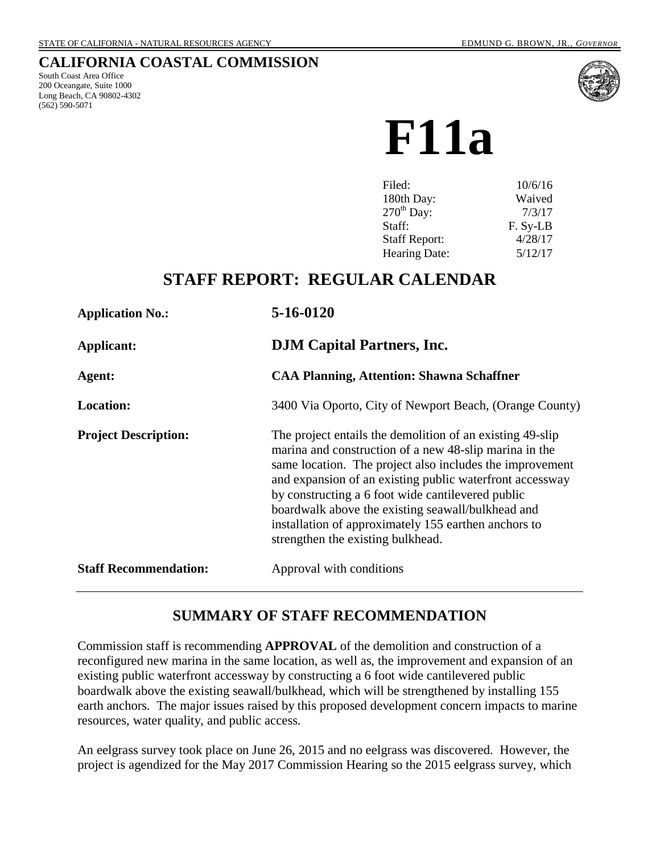# **CALIFORNIA COASTAL COMMISSION**

South Coast Area Office 200 Oceangate, Suite 1000 Long Beach, CA 90802-4302 (562) 590-5071



**F11a**

| Filed:                 | 10/6/16  |
|------------------------|----------|
| 180th Day:             | Waived   |
| $270^{\text{th}}$ Day: | 7/3/17   |
| Staff:                 | F. Sy-LB |
| <b>Staff Report:</b>   | 4/28/17  |
| <b>Hearing Date:</b>   | 5/12/17  |

# **STAFF REPORT: REGULAR CALENDAR**

| <b>Application No.:</b>      | 5-16-0120                                                                                                                                                                                                                                                                                                                                                                                                                                          |  |
|------------------------------|----------------------------------------------------------------------------------------------------------------------------------------------------------------------------------------------------------------------------------------------------------------------------------------------------------------------------------------------------------------------------------------------------------------------------------------------------|--|
| Applicant:                   | <b>DJM</b> Capital Partners, Inc.                                                                                                                                                                                                                                                                                                                                                                                                                  |  |
| Agent:                       | <b>CAA Planning, Attention: Shawna Schaffner</b>                                                                                                                                                                                                                                                                                                                                                                                                   |  |
| <b>Location:</b>             | 3400 Via Oporto, City of Newport Beach, (Orange County)                                                                                                                                                                                                                                                                                                                                                                                            |  |
| <b>Project Description:</b>  | The project entails the demolition of an existing 49-slip<br>marina and construction of a new 48-slip marina in the<br>same location. The project also includes the improvement<br>and expansion of an existing public waterfront accessway<br>by constructing a 6 foot wide cantilevered public<br>boardwalk above the existing seawall/bulkhead and<br>installation of approximately 155 earthen anchors to<br>strengthen the existing bulkhead. |  |
| <b>Staff Recommendation:</b> | Approval with conditions                                                                                                                                                                                                                                                                                                                                                                                                                           |  |

# **SUMMARY OF STAFF RECOMMENDATION**

Commission staff is recommending **APPROVAL** of the demolition and construction of a reconfigured new marina in the same location, as well as, the improvement and expansion of an existing public waterfront accessway by constructing a 6 foot wide cantilevered public boardwalk above the existing seawall/bulkhead, which will be strengthened by installing 155 earth anchors. The major issues raised by this proposed development concern impacts to marine resources, water quality, and public access.

An eelgrass survey took place on June 26, 2015 and no eelgrass was discovered. However, the project is agendized for the May 2017 Commission Hearing so the 2015 eelgrass survey, which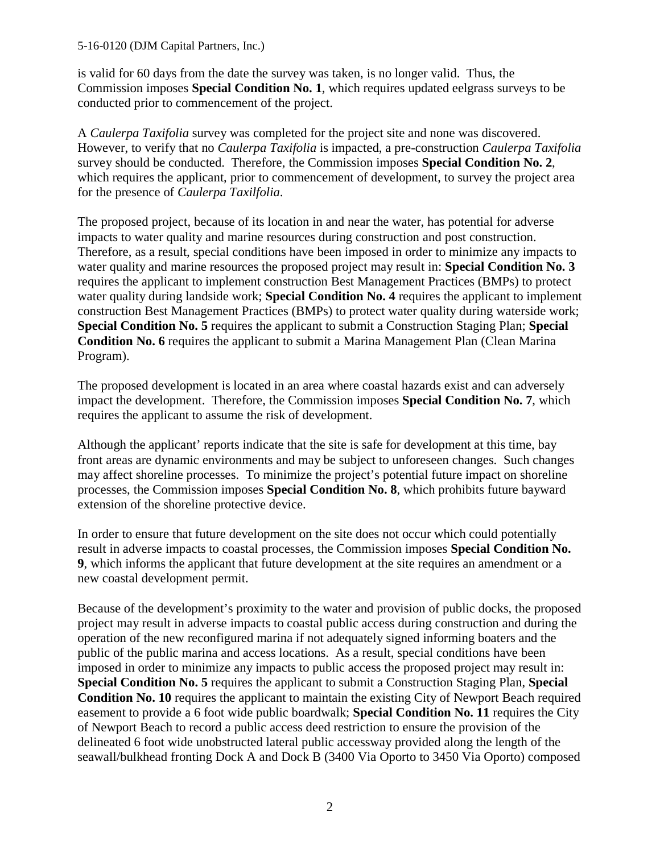#### 5-16-0120 (DJM Capital Partners, Inc.)

is valid for 60 days from the date the survey was taken, is no longer valid. Thus, the Commission imposes **Special Condition No. 1**, which requires updated eelgrass surveys to be conducted prior to commencement of the project.

A *Caulerpa Taxifolia* survey was completed for the project site and none was discovered. However, to verify that no *Caulerpa Taxifolia* is impacted, a pre-construction *Caulerpa Taxifolia* survey should be conducted. Therefore, the Commission imposes **Special Condition No. 2**, which requires the applicant, prior to commencement of development, to survey the project area for the presence of *Caulerpa Taxilfolia*.

The proposed project, because of its location in and near the water, has potential for adverse impacts to water quality and marine resources during construction and post construction. Therefore, as a result, special conditions have been imposed in order to minimize any impacts to water quality and marine resources the proposed project may result in: **Special Condition No. 3** requires the applicant to implement construction Best Management Practices (BMPs) to protect water quality during landside work; **Special Condition No. 4** requires the applicant to implement construction Best Management Practices (BMPs) to protect water quality during waterside work; **Special Condition No. 5** requires the applicant to submit a Construction Staging Plan; **Special Condition No. 6** requires the applicant to submit a Marina Management Plan (Clean Marina Program).

The proposed development is located in an area where coastal hazards exist and can adversely impact the development. Therefore, the Commission imposes **Special Condition No. 7**, which requires the applicant to assume the risk of development.

Although the applicant' reports indicate that the site is safe for development at this time, bay front areas are dynamic environments and may be subject to unforeseen changes. Such changes may affect shoreline processes. To minimize the project's potential future impact on shoreline processes, the Commission imposes **Special Condition No. 8**, which prohibits future bayward extension of the shoreline protective device.

In order to ensure that future development on the site does not occur which could potentially result in adverse impacts to coastal processes, the Commission imposes **Special Condition No. 9**, which informs the applicant that future development at the site requires an amendment or a new coastal development permit.

Because of the development's proximity to the water and provision of public docks, the proposed project may result in adverse impacts to coastal public access during construction and during the operation of the new reconfigured marina if not adequately signed informing boaters and the public of the public marina and access locations. As a result, special conditions have been imposed in order to minimize any impacts to public access the proposed project may result in: **Special Condition No. 5** requires the applicant to submit a Construction Staging Plan, **Special Condition No. 10** requires the applicant to maintain the existing City of Newport Beach required easement to provide a 6 foot wide public boardwalk; **Special Condition No. 11** requires the City of Newport Beach to record a public access deed restriction to ensure the provision of the delineated 6 foot wide unobstructed lateral public accessway provided along the length of the seawall/bulkhead fronting Dock A and Dock B (3400 Via Oporto to 3450 Via Oporto) composed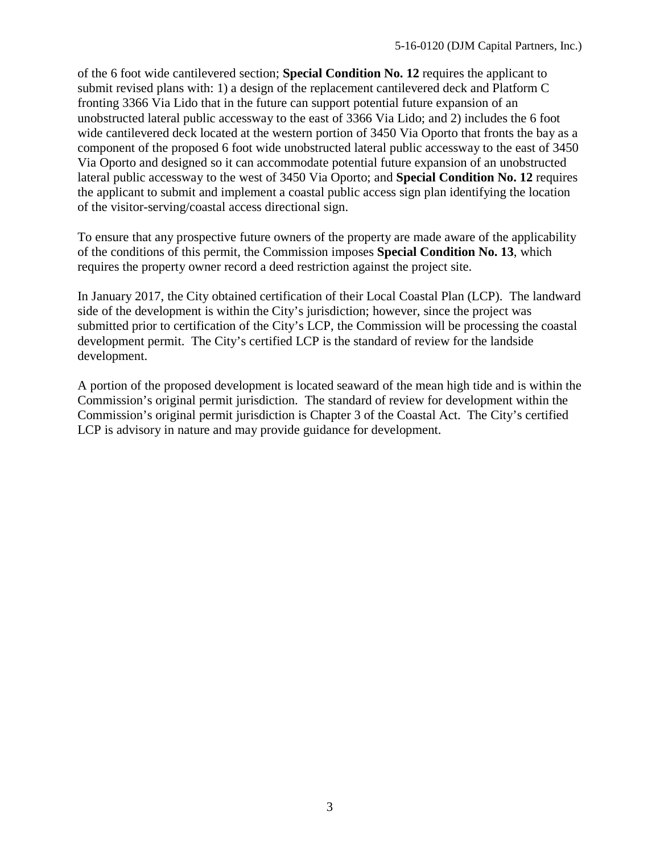of the 6 foot wide cantilevered section; **Special Condition No. 12** requires the applicant to submit revised plans with: 1) a design of the replacement cantilevered deck and Platform C fronting 3366 Via Lido that in the future can support potential future expansion of an unobstructed lateral public accessway to the east of 3366 Via Lido; and 2) includes the 6 foot wide cantilevered deck located at the western portion of 3450 Via Oporto that fronts the bay as a component of the proposed 6 foot wide unobstructed lateral public accessway to the east of 3450 Via Oporto and designed so it can accommodate potential future expansion of an unobstructed lateral public accessway to the west of 3450 Via Oporto; and **Special Condition No. 12** requires the applicant to submit and implement a coastal public access sign plan identifying the location of the visitor-serving/coastal access directional sign.

To ensure that any prospective future owners of the property are made aware of the applicability of the conditions of this permit, the Commission imposes **Special Condition No. 13**, which requires the property owner record a deed restriction against the project site.

In January 2017, the City obtained certification of their Local Coastal Plan (LCP). The landward side of the development is within the City's jurisdiction; however, since the project was submitted prior to certification of the City's LCP, the Commission will be processing the coastal development permit. The City's certified LCP is the standard of review for the landside development.

A portion of the proposed development is located seaward of the mean high tide and is within the Commission's original permit jurisdiction. The standard of review for development within the Commission's original permit jurisdiction is Chapter 3 of the Coastal Act. The City's certified LCP is advisory in nature and may provide guidance for development.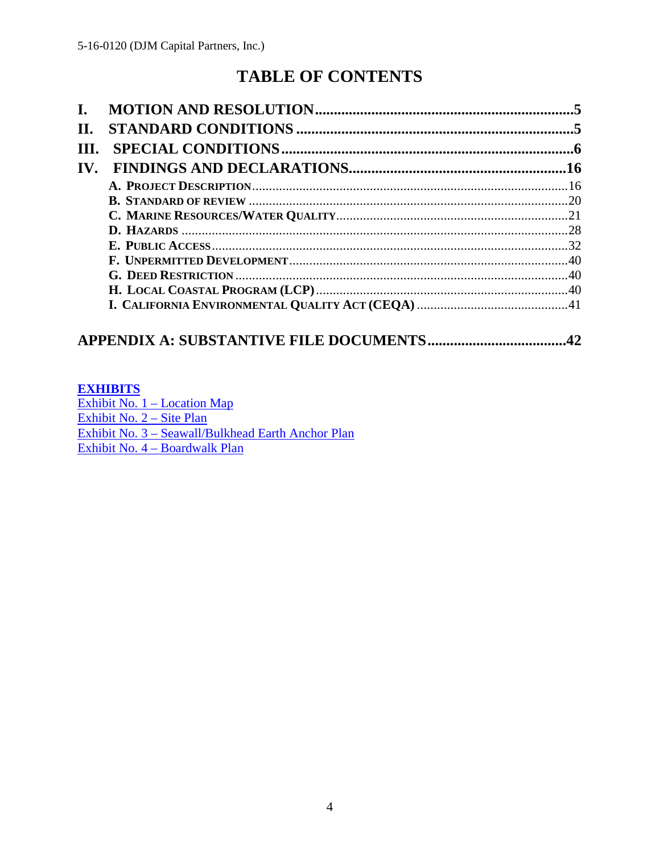# **TABLE OF CONTENTS**

| П.                    |  |
|-----------------------|--|
| III.                  |  |
| $\mathbf{IV}_{\cdot}$ |  |
|                       |  |
|                       |  |
|                       |  |
|                       |  |
|                       |  |
|                       |  |
|                       |  |
|                       |  |
|                       |  |

# 

### **EXHIBITS**

Exhibit No. 1 - Location Map Exhibit No. 2 - Site Plan Exhibit No. 3 - Seawall/Bulkhead Earth Anchor Plan Exhibit No. 4 - Boardwalk Plan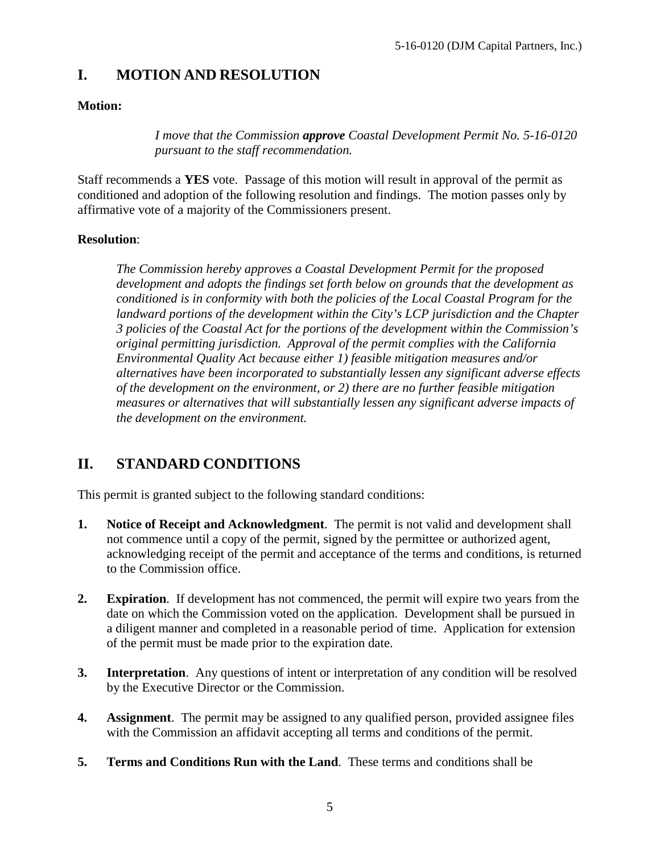# <span id="page-4-0"></span>**I. MOTION AND RESOLUTION**

### **Motion:**

*I move that the Commission approve Coastal Development Permit No. 5-16-0120 pursuant to the staff recommendation.* 

Staff recommends a **YES** vote. Passage of this motion will result in approval of the permit as conditioned and adoption of the following resolution and findings. The motion passes only by affirmative vote of a majority of the Commissioners present.

### **Resolution**:

*The Commission hereby approves a Coastal Development Permit for the proposed development and adopts the findings set forth below on grounds that the development as conditioned is in conformity with both the policies of the Local Coastal Program for the landward portions of the development within the City's LCP jurisdiction and the Chapter 3 policies of the Coastal Act for the portions of the development within the Commission's original permitting jurisdiction. Approval of the permit complies with the California Environmental Quality Act because either 1) feasible mitigation measures and/or alternatives have been incorporated to substantially lessen any significant adverse effects of the development on the environment, or 2) there are no further feasible mitigation measures or alternatives that will substantially lessen any significant adverse impacts of the development on the environment.* 

# <span id="page-4-1"></span>**II. STANDARD CONDITIONS**

This permit is granted subject to the following standard conditions:

- **1. Notice of Receipt and Acknowledgment**. The permit is not valid and development shall not commence until a copy of the permit, signed by the permittee or authorized agent, acknowledging receipt of the permit and acceptance of the terms and conditions, is returned to the Commission office.
- **2. Expiration**. If development has not commenced, the permit will expire two years from the date on which the Commission voted on the application. Development shall be pursued in a diligent manner and completed in a reasonable period of time. Application for extension of the permit must be made prior to the expiration date.
- **3.** Interpretation. Any questions of intent or interpretation of any condition will be resolved by the Executive Director or the Commission.
- **4. Assignment**. The permit may be assigned to any qualified person, provided assignee files with the Commission an affidavit accepting all terms and conditions of the permit.
- **5. Terms and Conditions Run with the Land**. These terms and conditions shall be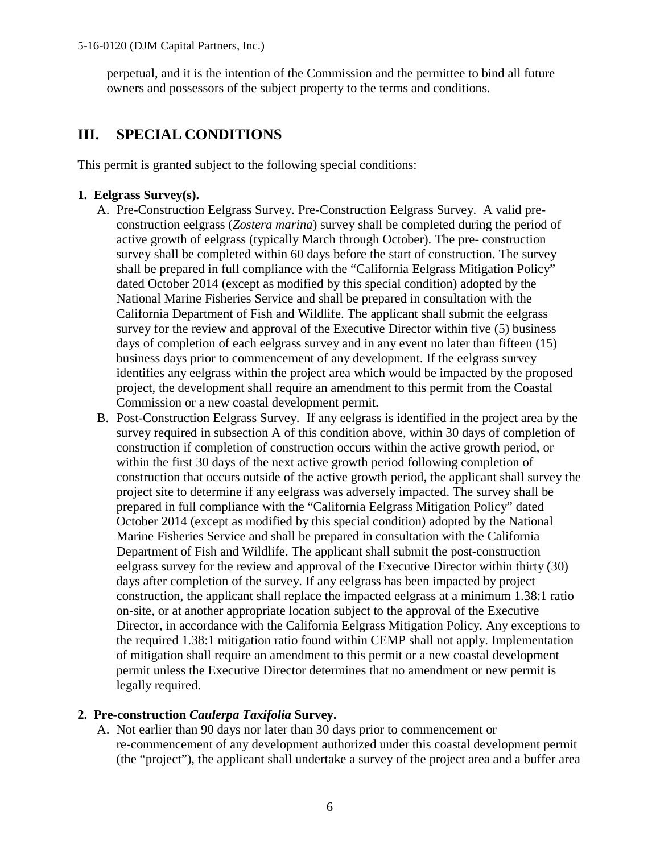perpetual, and it is the intention of the Commission and the permittee to bind all future owners and possessors of the subject property to the terms and conditions.

# <span id="page-5-0"></span>**III. SPECIAL CONDITIONS**

This permit is granted subject to the following special conditions:

### **1. Eelgrass Survey(s).**

- A. Pre-Construction Eelgrass Survey. Pre-Construction Eelgrass Survey. A valid preconstruction eelgrass (*Zostera marina*) survey shall be completed during the period of active growth of eelgrass (typically March through October). The pre- construction survey shall be completed within 60 days before the start of construction. The survey shall be prepared in full compliance with the "California Eelgrass Mitigation Policy" dated October 2014 (except as modified by this special condition) adopted by the National Marine Fisheries Service and shall be prepared in consultation with the California Department of Fish and Wildlife. The applicant shall submit the eelgrass survey for the review and approval of the Executive Director within five (5) business days of completion of each eelgrass survey and in any event no later than fifteen (15) business days prior to commencement of any development. If the eelgrass survey identifies any eelgrass within the project area which would be impacted by the proposed project, the development shall require an amendment to this permit from the Coastal Commission or a new coastal development permit.
- B. Post-Construction Eelgrass Survey. If any eelgrass is identified in the project area by the survey required in subsection A of this condition above, within 30 days of completion of construction if completion of construction occurs within the active growth period, or within the first 30 days of the next active growth period following completion of construction that occurs outside of the active growth period, the applicant shall survey the project site to determine if any eelgrass was adversely impacted. The survey shall be prepared in full compliance with the "California Eelgrass Mitigation Policy" dated October 2014 (except as modified by this special condition) adopted by the National Marine Fisheries Service and shall be prepared in consultation with the California Department of Fish and Wildlife. The applicant shall submit the post-construction eelgrass survey for the review and approval of the Executive Director within thirty (30) days after completion of the survey. If any eelgrass has been impacted by project construction, the applicant shall replace the impacted eelgrass at a minimum 1.38:1 ratio on-site, or at another appropriate location subject to the approval of the Executive Director, in accordance with the California Eelgrass Mitigation Policy. Any exceptions to the required 1.38:1 mitigation ratio found within CEMP shall not apply. Implementation of mitigation shall require an amendment to this permit or a new coastal development permit unless the Executive Director determines that no amendment or new permit is legally required.

### **2. Pre-construction** *Caulerpa Taxifolia* **Survey.**

A. Not earlier than 90 days nor later than 30 days prior to commencement or re-commencement of any development authorized under this coastal development permit (the "project"), the applicant shall undertake a survey of the project area and a buffer area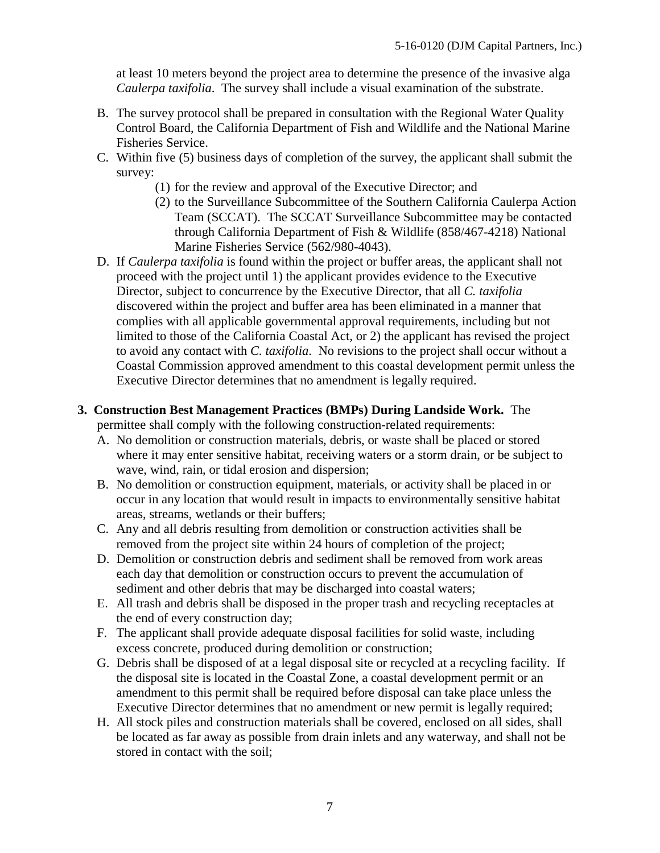at least 10 meters beyond the project area to determine the presence of the invasive alga *Caulerpa taxifolia*. The survey shall include a visual examination of the substrate.

- B. The survey protocol shall be prepared in consultation with the Regional Water Quality Control Board, the California Department of Fish and Wildlife and the National Marine Fisheries Service.
- C. Within five (5) business days of completion of the survey, the applicant shall submit the survey:
	- (1) for the review and approval of the Executive Director; and
	- (2) to the Surveillance Subcommittee of the Southern California Caulerpa Action Team (SCCAT). The SCCAT Surveillance Subcommittee may be contacted through California Department of Fish & Wildlife (858/467-4218) National Marine Fisheries Service (562/980-4043).
- D. If *Caulerpa taxifolia* is found within the project or buffer areas, the applicant shall not proceed with the project until 1) the applicant provides evidence to the Executive Director, subject to concurrence by the Executive Director, that all *C. taxifolia* discovered within the project and buffer area has been eliminated in a manner that complies with all applicable governmental approval requirements, including but not limited to those of the California Coastal Act, or 2) the applicant has revised the project to avoid any contact with *C. taxifolia*. No revisions to the project shall occur without a Coastal Commission approved amendment to this coastal development permit unless the Executive Director determines that no amendment is legally required.

#### **3. Construction Best Management Practices (BMPs) During Landside Work.** The

permittee shall comply with the following construction-related requirements:

- A. No demolition or construction materials, debris, or waste shall be placed or stored where it may enter sensitive habitat, receiving waters or a storm drain, or be subject to wave, wind, rain, or tidal erosion and dispersion;
- B. No demolition or construction equipment, materials, or activity shall be placed in or occur in any location that would result in impacts to environmentally sensitive habitat areas, streams, wetlands or their buffers;
- C. Any and all debris resulting from demolition or construction activities shall be removed from the project site within 24 hours of completion of the project;
- D. Demolition or construction debris and sediment shall be removed from work areas each day that demolition or construction occurs to prevent the accumulation of sediment and other debris that may be discharged into coastal waters;
- E. All trash and debris shall be disposed in the proper trash and recycling receptacles at the end of every construction day;
- F. The applicant shall provide adequate disposal facilities for solid waste, including excess concrete, produced during demolition or construction;
- G. Debris shall be disposed of at a legal disposal site or recycled at a recycling facility. If the disposal site is located in the Coastal Zone, a coastal development permit or an amendment to this permit shall be required before disposal can take place unless the Executive Director determines that no amendment or new permit is legally required;
- H. All stock piles and construction materials shall be covered, enclosed on all sides, shall be located as far away as possible from drain inlets and any waterway, and shall not be stored in contact with the soil;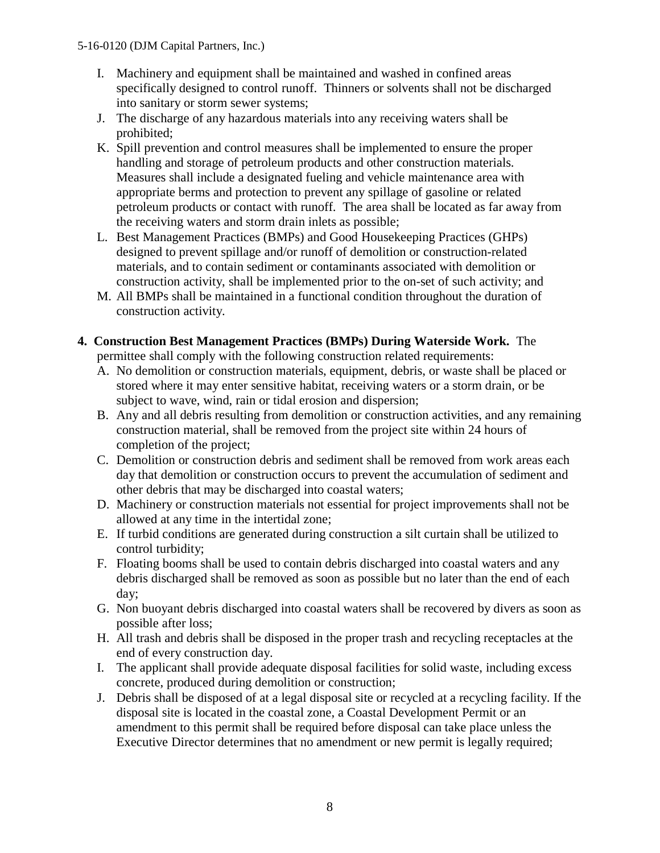- I. Machinery and equipment shall be maintained and washed in confined areas specifically designed to control runoff. Thinners or solvents shall not be discharged into sanitary or storm sewer systems;
- J. The discharge of any hazardous materials into any receiving waters shall be prohibited;
- K. Spill prevention and control measures shall be implemented to ensure the proper handling and storage of petroleum products and other construction materials. Measures shall include a designated fueling and vehicle maintenance area with appropriate berms and protection to prevent any spillage of gasoline or related petroleum products or contact with runoff. The area shall be located as far away from the receiving waters and storm drain inlets as possible;
- L. Best Management Practices (BMPs) and Good Housekeeping Practices (GHPs) designed to prevent spillage and/or runoff of demolition or construction-related materials, and to contain sediment or contaminants associated with demolition or construction activity, shall be implemented prior to the on-set of such activity; and
- M. All BMPs shall be maintained in a functional condition throughout the duration of construction activity.

## **4. Construction Best Management Practices (BMPs) During Waterside Work.** The

permittee shall comply with the following construction related requirements:

- A. No demolition or construction materials, equipment, debris, or waste shall be placed or stored where it may enter sensitive habitat, receiving waters or a storm drain, or be subject to wave, wind, rain or tidal erosion and dispersion;
- B. Any and all debris resulting from demolition or construction activities, and any remaining construction material, shall be removed from the project site within 24 hours of completion of the project;
- C. Demolition or construction debris and sediment shall be removed from work areas each day that demolition or construction occurs to prevent the accumulation of sediment and other debris that may be discharged into coastal waters;
- D. Machinery or construction materials not essential for project improvements shall not be allowed at any time in the intertidal zone;
- E. If turbid conditions are generated during construction a silt curtain shall be utilized to control turbidity;
- F. Floating booms shall be used to contain debris discharged into coastal waters and any debris discharged shall be removed as soon as possible but no later than the end of each day;
- G. Non buoyant debris discharged into coastal waters shall be recovered by divers as soon as possible after loss;
- H. All trash and debris shall be disposed in the proper trash and recycling receptacles at the end of every construction day.
- I. The applicant shall provide adequate disposal facilities for solid waste, including excess concrete, produced during demolition or construction;
- J. Debris shall be disposed of at a legal disposal site or recycled at a recycling facility. If the disposal site is located in the coastal zone, a Coastal Development Permit or an amendment to this permit shall be required before disposal can take place unless the Executive Director determines that no amendment or new permit is legally required;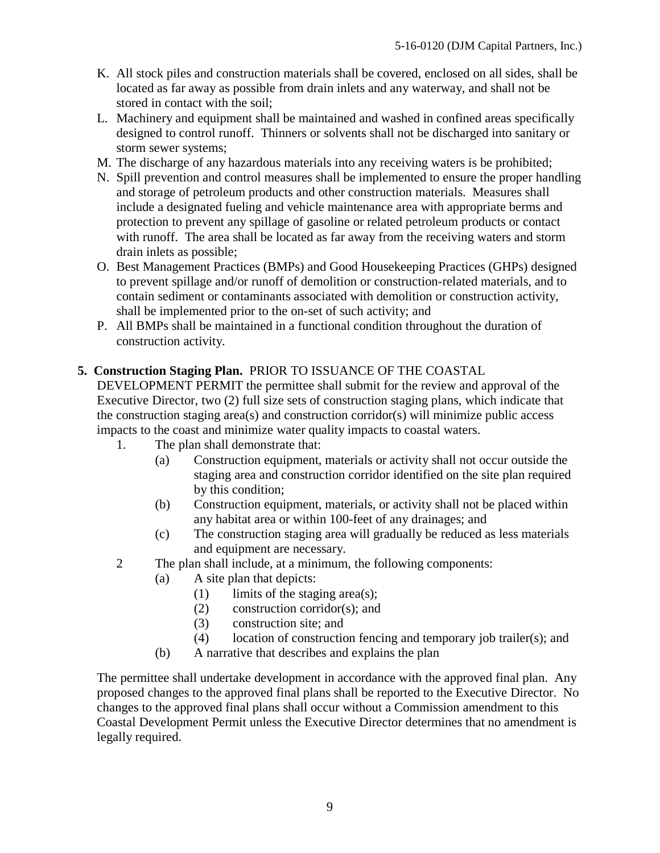- K. All stock piles and construction materials shall be covered, enclosed on all sides, shall be located as far away as possible from drain inlets and any waterway, and shall not be stored in contact with the soil;
- L. Machinery and equipment shall be maintained and washed in confined areas specifically designed to control runoff. Thinners or solvents shall not be discharged into sanitary or storm sewer systems;
- M. The discharge of any hazardous materials into any receiving waters is be prohibited;
- N. Spill prevention and control measures shall be implemented to ensure the proper handling and storage of petroleum products and other construction materials. Measures shall include a designated fueling and vehicle maintenance area with appropriate berms and protection to prevent any spillage of gasoline or related petroleum products or contact with runoff. The area shall be located as far away from the receiving waters and storm drain inlets as possible;
- O. Best Management Practices (BMPs) and Good Housekeeping Practices (GHPs) designed to prevent spillage and/or runoff of demolition or construction-related materials, and to contain sediment or contaminants associated with demolition or construction activity, shall be implemented prior to the on-set of such activity; and
- P. All BMPs shall be maintained in a functional condition throughout the duration of construction activity.

## **5. Construction Staging Plan.** PRIOR TO ISSUANCE OF THE COASTAL

DEVELOPMENT PERMIT the permittee shall submit for the review and approval of the Executive Director, two (2) full size sets of construction staging plans, which indicate that the construction staging area(s) and construction corridor(s) will minimize public access impacts to the coast and minimize water quality impacts to coastal waters.

- 1. The plan shall demonstrate that:
	- (a) Construction equipment, materials or activity shall not occur outside the staging area and construction corridor identified on the site plan required by this condition;
	- (b) Construction equipment, materials, or activity shall not be placed within any habitat area or within 100-feet of any drainages; and
	- (c) The construction staging area will gradually be reduced as less materials and equipment are necessary.
- 2 The plan shall include, at a minimum, the following components:
	- (a) A site plan that depicts:
		- $(1)$  limits of the staging area(s);
		- (2) construction corridor(s); and
		- (3) construction site; and
		- (4) location of construction fencing and temporary job trailer(s); and
	- (b) A narrative that describes and explains the plan

The permittee shall undertake development in accordance with the approved final plan. Any proposed changes to the approved final plans shall be reported to the Executive Director. No changes to the approved final plans shall occur without a Commission amendment to this Coastal Development Permit unless the Executive Director determines that no amendment is legally required.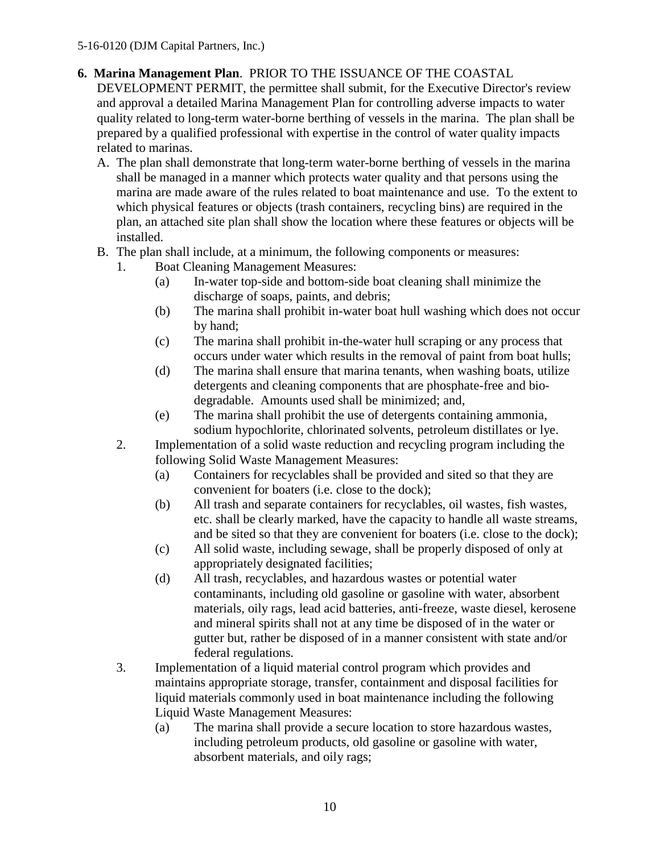# **6. Marina Management Plan**. PRIOR TO THE ISSUANCE OF THE COASTAL

DEVELOPMENT PERMIT, the permittee shall submit, for the Executive Director's review and approval a detailed Marina Management Plan for controlling adverse impacts to water quality related to long-term water-borne berthing of vessels in the marina. The plan shall be prepared by a qualified professional with expertise in the control of water quality impacts related to marinas.

- A. The plan shall demonstrate that long-term water-borne berthing of vessels in the marina shall be managed in a manner which protects water quality and that persons using the marina are made aware of the rules related to boat maintenance and use. To the extent to which physical features or objects (trash containers, recycling bins) are required in the plan, an attached site plan shall show the location where these features or objects will be installed.
- B. The plan shall include, at a minimum, the following components or measures:
	- 1. Boat Cleaning Management Measures:
		- (a) In-water top-side and bottom-side boat cleaning shall minimize the discharge of soaps, paints, and debris;
		- (b) The marina shall prohibit in-water boat hull washing which does not occur by hand;
		- (c) The marina shall prohibit in-the-water hull scraping or any process that occurs under water which results in the removal of paint from boat hulls;
		- (d) The marina shall ensure that marina tenants, when washing boats, utilize detergents and cleaning components that are phosphate-free and biodegradable. Amounts used shall be minimized; and,
		- (e) The marina shall prohibit the use of detergents containing ammonia, sodium hypochlorite, chlorinated solvents, petroleum distillates or lye.
	- 2. Implementation of a solid waste reduction and recycling program including the following Solid Waste Management Measures:
		- (a) Containers for recyclables shall be provided and sited so that they are convenient for boaters (i.e. close to the dock);
		- (b) All trash and separate containers for recyclables, oil wastes, fish wastes, etc. shall be clearly marked, have the capacity to handle all waste streams, and be sited so that they are convenient for boaters (i.e. close to the dock);
		- (c) All solid waste, including sewage, shall be properly disposed of only at appropriately designated facilities;
		- (d) All trash, recyclables, and hazardous wastes or potential water contaminants, including old gasoline or gasoline with water, absorbent materials, oily rags, lead acid batteries, anti-freeze, waste diesel, kerosene and mineral spirits shall not at any time be disposed of in the water or gutter but, rather be disposed of in a manner consistent with state and/or federal regulations.
	- 3. Implementation of a liquid material control program which provides and maintains appropriate storage, transfer, containment and disposal facilities for liquid materials commonly used in boat maintenance including the following Liquid Waste Management Measures:
		- (a) The marina shall provide a secure location to store hazardous wastes, including petroleum products, old gasoline or gasoline with water, absorbent materials, and oily rags;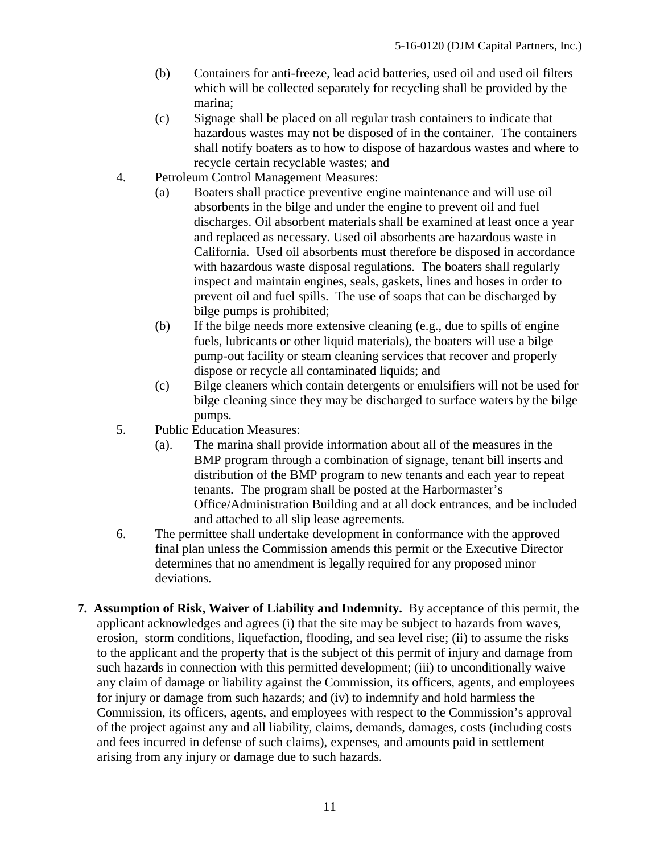- (b) Containers for anti-freeze, lead acid batteries, used oil and used oil filters which will be collected separately for recycling shall be provided by the marina;
- (c) Signage shall be placed on all regular trash containers to indicate that hazardous wastes may not be disposed of in the container. The containers shall notify boaters as to how to dispose of hazardous wastes and where to recycle certain recyclable wastes; and
- 4. Petroleum Control Management Measures:
	- (a) Boaters shall practice preventive engine maintenance and will use oil absorbents in the bilge and under the engine to prevent oil and fuel discharges. Oil absorbent materials shall be examined at least once a year and replaced as necessary. Used oil absorbents are hazardous waste in California. Used oil absorbents must therefore be disposed in accordance with hazardous waste disposal regulations. The boaters shall regularly inspect and maintain engines, seals, gaskets, lines and hoses in order to prevent oil and fuel spills. The use of soaps that can be discharged by bilge pumps is prohibited;
	- (b) If the bilge needs more extensive cleaning (e.g., due to spills of engine fuels, lubricants or other liquid materials), the boaters will use a bilge pump-out facility or steam cleaning services that recover and properly dispose or recycle all contaminated liquids; and
	- (c) Bilge cleaners which contain detergents or emulsifiers will not be used for bilge cleaning since they may be discharged to surface waters by the bilge pumps.
- 5. Public Education Measures:
	- (a). The marina shall provide information about all of the measures in the BMP program through a combination of signage, tenant bill inserts and distribution of the BMP program to new tenants and each year to repeat tenants. The program shall be posted at the Harbormaster's Office/Administration Building and at all dock entrances, and be included and attached to all slip lease agreements.
- 6. The permittee shall undertake development in conformance with the approved final plan unless the Commission amends this permit or the Executive Director determines that no amendment is legally required for any proposed minor deviations.
- **7. Assumption of Risk, Waiver of Liability and Indemnity.** By acceptance of this permit, the applicant acknowledges and agrees (i) that the site may be subject to hazards from waves, erosion, storm conditions, liquefaction, flooding, and sea level rise; (ii) to assume the risks to the applicant and the property that is the subject of this permit of injury and damage from such hazards in connection with this permitted development; (iii) to unconditionally waive any claim of damage or liability against the Commission, its officers, agents, and employees for injury or damage from such hazards; and (iv) to indemnify and hold harmless the Commission, its officers, agents, and employees with respect to the Commission's approval of the project against any and all liability, claims, demands, damages, costs (including costs and fees incurred in defense of such claims), expenses, and amounts paid in settlement arising from any injury or damage due to such hazards.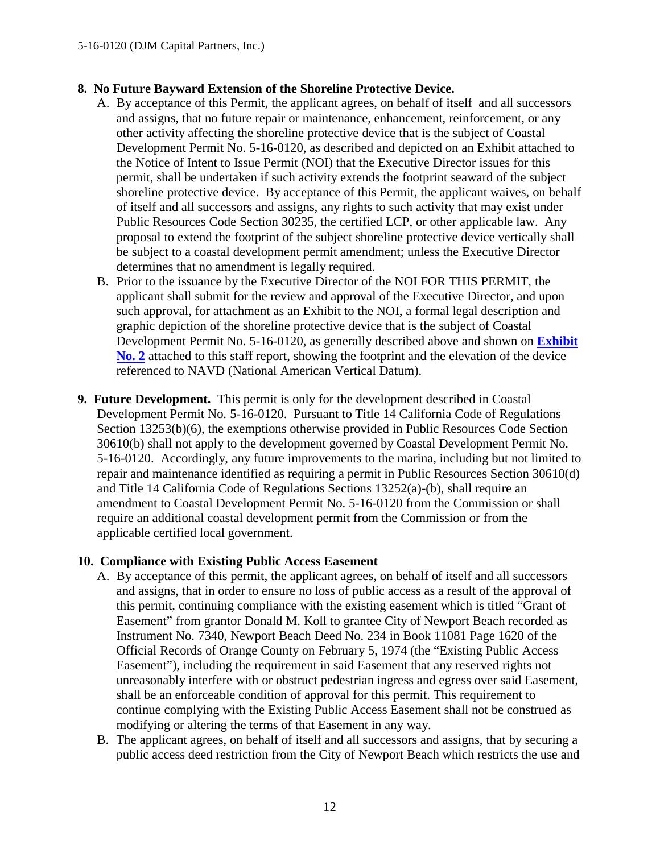### **8. No Future Bayward Extension of the Shoreline Protective Device.**

- A. By acceptance of this Permit, the applicant agrees, on behalf of itself and all successors and assigns, that no future repair or maintenance, enhancement, reinforcement, or any other activity affecting the shoreline protective device that is the subject of Coastal Development Permit No. 5-16-0120, as described and depicted on an Exhibit attached to the Notice of Intent to Issue Permit (NOI) that the Executive Director issues for this permit, shall be undertaken if such activity extends the footprint seaward of the subject shoreline protective device. By acceptance of this Permit, the applicant waives, on behalf of itself and all successors and assigns, any rights to such activity that may exist under Public Resources Code Section 30235, the certified LCP, or other applicable law. Any proposal to extend the footprint of the subject shoreline protective device vertically shall be subject to a coastal development permit amendment; unless the Executive Director determines that no amendment is legally required.
- B. Prior to the issuance by the Executive Director of the NOI FOR THIS PERMIT, the applicant shall submit for the review and approval of the Executive Director, and upon such approval, for attachment as an Exhibit to the NOI, a formal legal description and graphic depiction of the shoreline protective device that is the subject of Coastal Development Permit No. 5-16-0120, as generally described above and shown on **[Exhibit](https://documents.coastal.ca.gov/reports/2017/5/F11a/F11a-5-2017-exhibits.pdf)  [No. 2](https://documents.coastal.ca.gov/reports/2017/5/F11a/F11a-5-2017-exhibits.pdf)** attached to this staff report, showing the footprint and the elevation of the device referenced to NAVD (National American Vertical Datum).
- **9. Future Development.** This permit is only for the development described in Coastal Development Permit No. 5-16-0120. Pursuant to Title 14 California Code of Regulations Section 13253(b)(6), the exemptions otherwise provided in Public Resources Code Section 30610(b) shall not apply to the development governed by Coastal Development Permit No. 5-16-0120. Accordingly, any future improvements to the marina, including but not limited to repair and maintenance identified as requiring a permit in Public Resources Section 30610(d) and Title 14 California Code of Regulations Sections 13252(a)-(b), shall require an amendment to Coastal Development Permit No. 5-16-0120 from the Commission or shall require an additional coastal development permit from the Commission or from the applicable certified local government.

#### **10. Compliance with Existing Public Access Easement**

- A. By acceptance of this permit, the applicant agrees, on behalf of itself and all successors and assigns, that in order to ensure no loss of public access as a result of the approval of this permit, continuing compliance with the existing easement which is titled "Grant of Easement" from grantor Donald M. Koll to grantee City of Newport Beach recorded as Instrument No. 7340, Newport Beach Deed No. 234 in Book 11081 Page 1620 of the Official Records of Orange County on February 5, 1974 (the "Existing Public Access Easement"), including the requirement in said Easement that any reserved rights not unreasonably interfere with or obstruct pedestrian ingress and egress over said Easement, shall be an enforceable condition of approval for this permit. This requirement to continue complying with the Existing Public Access Easement shall not be construed as modifying or altering the terms of that Easement in any way.
- B. The applicant agrees, on behalf of itself and all successors and assigns, that by securing a public access deed restriction from the City of Newport Beach which restricts the use and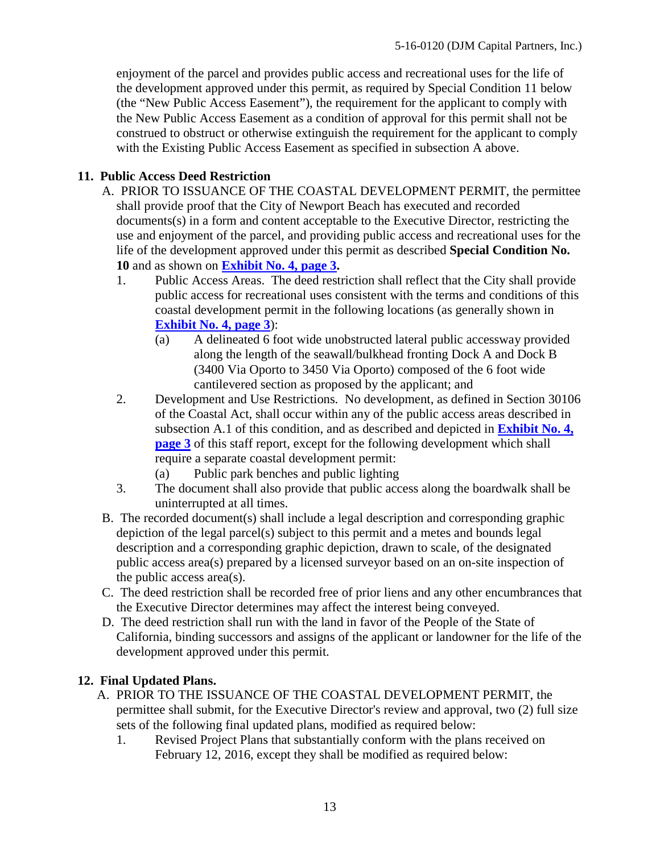enjoyment of the parcel and provides public access and recreational uses for the life of the development approved under this permit, as required by Special Condition 11 below (the "New Public Access Easement"), the requirement for the applicant to comply with the New Public Access Easement as a condition of approval for this permit shall not be construed to obstruct or otherwise extinguish the requirement for the applicant to comply with the Existing Public Access Easement as specified in subsection A above.

### **11. Public Access Deed Restriction**

- A. PRIOR TO ISSUANCE OF THE COASTAL DEVELOPMENT PERMIT, the permittee shall provide proof that the City of Newport Beach has executed and recorded documents(s) in a form and content acceptable to the Executive Director, restricting the use and enjoyment of the parcel, and providing public access and recreational uses for the life of the development approved under this permit as described **Special Condition No. 10** and as shown on **[Exhibit No. 4, page 3.](https://documents.coastal.ca.gov/reports/2017/5/F11a/F11a-5-2017-exhibits.pdf)**
	- 1. Public Access Areas. The deed restriction shall reflect that the City shall provide public access for recreational uses consistent with the terms and conditions of this coastal development permit in the following locations (as generally shown in **[Exhibit No. 4, page 3](https://documents.coastal.ca.gov/reports/2017/5/F11a/F11a-5-2017-exhibits.pdf)**):
		- (a) A delineated 6 foot wide unobstructed lateral public accessway provided along the length of the seawall/bulkhead fronting Dock A and Dock B (3400 Via Oporto to 3450 Via Oporto) composed of the 6 foot wide cantilevered section as proposed by the applicant; and
	- 2. Development and Use Restrictions. No development, as defined in Section 30106 of the Coastal Act, shall occur within any of the public access areas described in subsection A.1 of this condition, and as described and depicted in **[Exhibit No. 4,](https://documents.coastal.ca.gov/reports/2017/5/F11a/F11a-5-2017-exhibits.pdf)  [page 3](https://documents.coastal.ca.gov/reports/2017/5/F11a/F11a-5-2017-exhibits.pdf)** of this staff report, except for the following development which shall require a separate coastal development permit:
		- (a) Public park benches and public lighting
	- 3. The document shall also provide that public access along the boardwalk shall be uninterrupted at all times.
- B. The recorded document(s) shall include a legal description and corresponding graphic depiction of the legal parcel(s) subject to this permit and a metes and bounds legal description and a corresponding graphic depiction, drawn to scale, of the designated public access area(s) prepared by a licensed surveyor based on an on-site inspection of the public access area(s).
- C. The deed restriction shall be recorded free of prior liens and any other encumbrances that the Executive Director determines may affect the interest being conveyed.
- D. The deed restriction shall run with the land in favor of the People of the State of California, binding successors and assigns of the applicant or landowner for the life of the development approved under this permit.

## **12. Final Updated Plans.**

- A. PRIOR TO THE ISSUANCE OF THE COASTAL DEVELOPMENT PERMIT, the permittee shall submit, for the Executive Director's review and approval, two (2) full size sets of the following final updated plans, modified as required below:
	- 1. Revised Project Plans that substantially conform with the plans received on February 12, 2016, except they shall be modified as required below: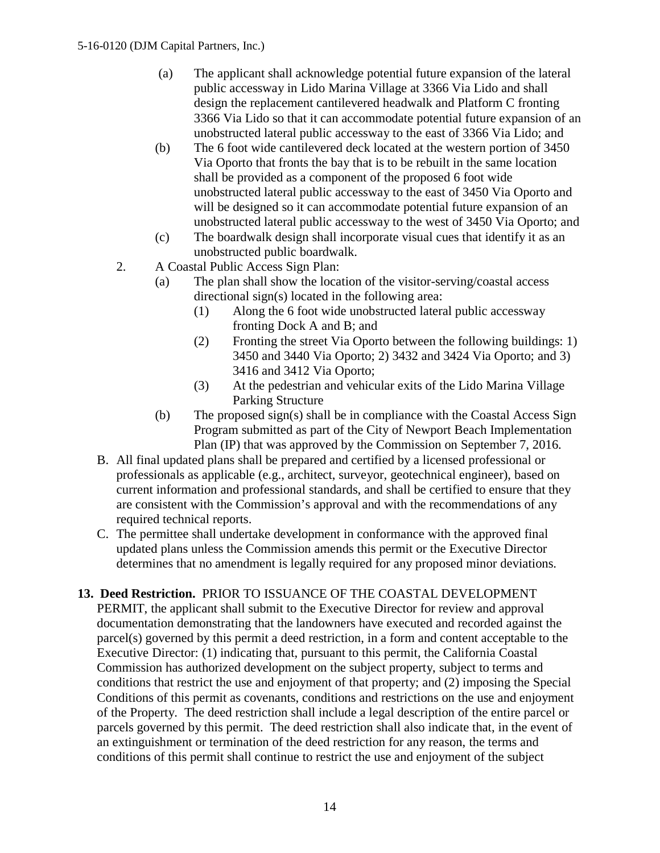- (a) The applicant shall acknowledge potential future expansion of the lateral public accessway in Lido Marina Village at 3366 Via Lido and shall design the replacement cantilevered headwalk and Platform C fronting 3366 Via Lido so that it can accommodate potential future expansion of an unobstructed lateral public accessway to the east of 3366 Via Lido; and
- (b) The 6 foot wide cantilevered deck located at the western portion of 3450 Via Oporto that fronts the bay that is to be rebuilt in the same location shall be provided as a component of the proposed 6 foot wide unobstructed lateral public accessway to the east of 3450 Via Oporto and will be designed so it can accommodate potential future expansion of an unobstructed lateral public accessway to the west of 3450 Via Oporto; and
- (c) The boardwalk design shall incorporate visual cues that identify it as an unobstructed public boardwalk.
- 2. A Coastal Public Access Sign Plan:
	- (a) The plan shall show the location of the visitor-serving/coastal access directional sign(s) located in the following area:
		- (1) Along the 6 foot wide unobstructed lateral public accessway fronting Dock A and B; and
		- (2) Fronting the street Via Oporto between the following buildings: 1) 3450 and 3440 Via Oporto; 2) 3432 and 3424 Via Oporto; and 3) 3416 and 3412 Via Oporto;
		- (3) At the pedestrian and vehicular exits of the Lido Marina Village Parking Structure
	- (b) The proposed sign(s) shall be in compliance with the Coastal Access Sign Program submitted as part of the City of Newport Beach Implementation Plan (IP) that was approved by the Commission on September 7, 2016.
- B. All final updated plans shall be prepared and certified by a licensed professional or professionals as applicable (e.g., architect, surveyor, geotechnical engineer), based on current information and professional standards, and shall be certified to ensure that they are consistent with the Commission's approval and with the recommendations of any required technical reports.
- C. The permittee shall undertake development in conformance with the approved final updated plans unless the Commission amends this permit or the Executive Director determines that no amendment is legally required for any proposed minor deviations.
- **13. Deed Restriction.** PRIOR TO ISSUANCE OF THE COASTAL DEVELOPMENT PERMIT, the applicant shall submit to the Executive Director for review and approval documentation demonstrating that the landowners have executed and recorded against the parcel(s) governed by this permit a deed restriction, in a form and content acceptable to the Executive Director: (1) indicating that, pursuant to this permit, the California Coastal Commission has authorized development on the subject property, subject to terms and conditions that restrict the use and enjoyment of that property; and (2) imposing the Special Conditions of this permit as covenants, conditions and restrictions on the use and enjoyment of the Property. The deed restriction shall include a legal description of the entire parcel or parcels governed by this permit. The deed restriction shall also indicate that, in the event of an extinguishment or termination of the deed restriction for any reason, the terms and conditions of this permit shall continue to restrict the use and enjoyment of the subject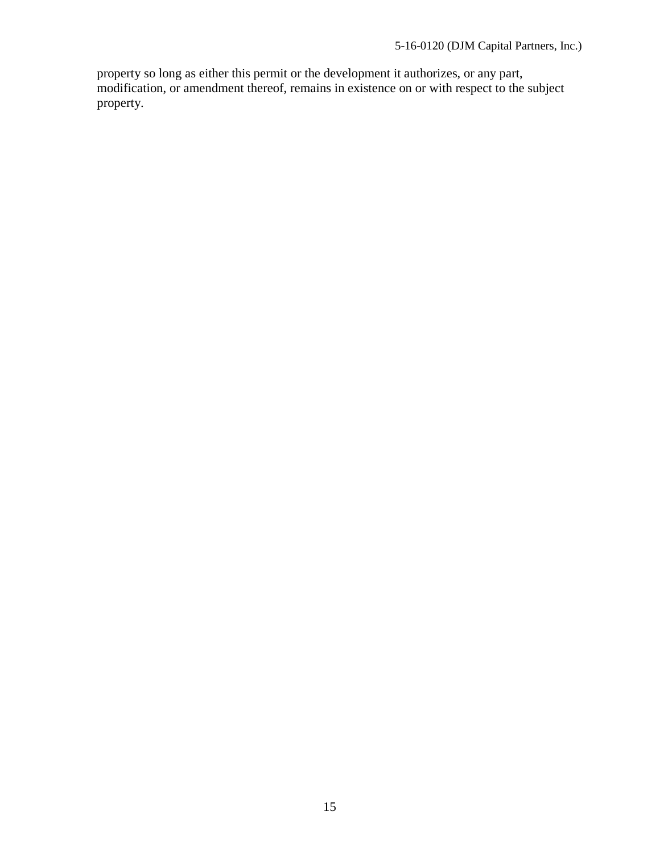property so long as either this permit or the development it authorizes, or any part, modification, or amendment thereof, remains in existence on or with respect to the subject property.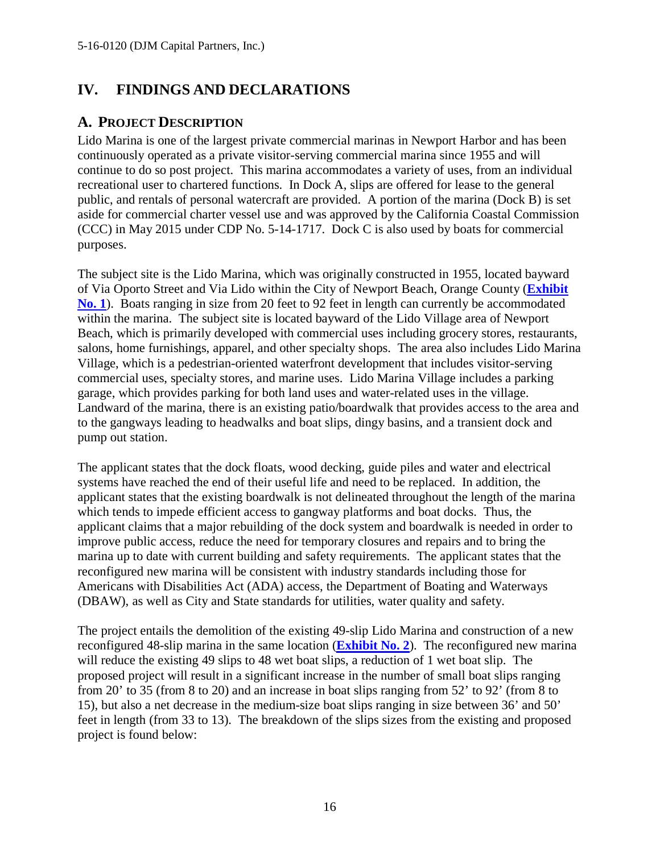# <span id="page-15-0"></span>**IV. FINDINGS AND DECLARATIONS**

# <span id="page-15-1"></span>**A. PROJECT DESCRIPTION**

Lido Marina is one of the largest private commercial marinas in Newport Harbor and has been continuously operated as a private visitor-serving commercial marina since 1955 and will continue to do so post project. This marina accommodates a variety of uses, from an individual recreational user to chartered functions. In Dock A, slips are offered for lease to the general public, and rentals of personal watercraft are provided. A portion of the marina (Dock B) is set aside for commercial charter vessel use and was approved by the California Coastal Commission (CCC) in May 2015 under CDP No. 5-14-1717. Dock C is also used by boats for commercial purposes.

The subject site is the Lido Marina, which was originally constructed in 1955, located bayward of Via Oporto Street and Via Lido within the City of Newport Beach, Orange County (**[Exhibit](https://documents.coastal.ca.gov/reports/2017/5/F11a/F11a-5-2017-exhibits.pdf)  [No. 1](https://documents.coastal.ca.gov/reports/2017/5/F11a/F11a-5-2017-exhibits.pdf)**). Boats ranging in size from 20 feet to 92 feet in length can currently be accommodated within the marina. The subject site is located bayward of the Lido Village area of Newport Beach, which is primarily developed with commercial uses including grocery stores, restaurants, salons, home furnishings, apparel, and other specialty shops. The area also includes Lido Marina Village, which is a pedestrian-oriented waterfront development that includes visitor-serving commercial uses, specialty stores, and marine uses. Lido Marina Village includes a parking garage, which provides parking for both land uses and water-related uses in the village. Landward of the marina, there is an existing patio/boardwalk that provides access to the area and to the gangways leading to headwalks and boat slips, dingy basins, and a transient dock and pump out station.

The applicant states that the dock floats, wood decking, guide piles and water and electrical systems have reached the end of their useful life and need to be replaced. In addition, the applicant states that the existing boardwalk is not delineated throughout the length of the marina which tends to impede efficient access to gangway platforms and boat docks. Thus, the applicant claims that a major rebuilding of the dock system and boardwalk is needed in order to improve public access, reduce the need for temporary closures and repairs and to bring the marina up to date with current building and safety requirements. The applicant states that the reconfigured new marina will be consistent with industry standards including those for Americans with Disabilities Act (ADA) access, the Department of Boating and Waterways (DBAW), as well as City and State standards for utilities, water quality and safety.

The project entails the demolition of the existing 49-slip Lido Marina and construction of a new reconfigured 48-slip marina in the same location (**[Exhibit No. 2](https://documents.coastal.ca.gov/reports/2017/5/F11a/F11a-5-2017-exhibits.pdf)**). The reconfigured new marina will reduce the existing 49 slips to 48 wet boat slips, a reduction of 1 wet boat slip. The proposed project will result in a significant increase in the number of small boat slips ranging from 20' to 35 (from 8 to 20) and an increase in boat slips ranging from 52' to 92' (from 8 to 15), but also a net decrease in the medium-size boat slips ranging in size between 36' and 50' feet in length (from 33 to 13). The breakdown of the slips sizes from the existing and proposed project is found below: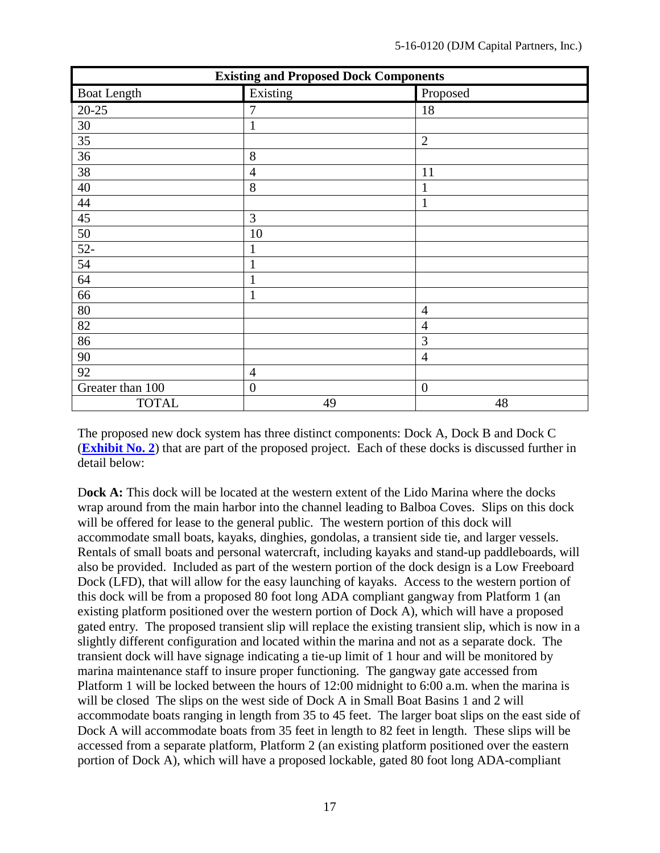| <b>Existing and Proposed Dock Components</b> |                  |                  |  |
|----------------------------------------------|------------------|------------------|--|
| <b>Boat Length</b>                           | Existing         | Proposed         |  |
| $20 - 25$                                    | 7                | 18               |  |
| 30                                           | $\mathbf{1}$     |                  |  |
| 35                                           |                  | $\overline{2}$   |  |
| 36                                           | 8                |                  |  |
| 38                                           | $\overline{4}$   | 11               |  |
| 40                                           | 8                | 1                |  |
| 44                                           |                  | 1                |  |
| 45                                           | 3                |                  |  |
| 50                                           | 10               |                  |  |
| $52 -$                                       | $\mathbf{1}$     |                  |  |
| 54                                           | $\mathbf{1}$     |                  |  |
| 64                                           | $\mathbf{1}$     |                  |  |
| 66                                           | $\mathbf{1}$     |                  |  |
| 80                                           |                  | $\overline{4}$   |  |
| 82                                           |                  | $\overline{4}$   |  |
| 86                                           |                  | 3                |  |
| 90                                           |                  | $\overline{4}$   |  |
| 92                                           | $\overline{4}$   |                  |  |
| Greater than 100                             | $\boldsymbol{0}$ | $\boldsymbol{0}$ |  |
| <b>TOTAL</b>                                 | 49               | 48               |  |

The proposed new dock system has three distinct components: Dock A, Dock B and Dock C (**[Exhibit No. 2](https://documents.coastal.ca.gov/reports/2017/5/F11a/F11a-5-2017-exhibits.pdf)**) that are part of the proposed project. Each of these docks is discussed further in detail below:

D**ock A:** This dock will be located at the western extent of the Lido Marina where the docks wrap around from the main harbor into the channel leading to Balboa Coves. Slips on this dock will be offered for lease to the general public. The western portion of this dock will accommodate small boats, kayaks, dinghies, gondolas, a transient side tie, and larger vessels. Rentals of small boats and personal watercraft, including kayaks and stand-up paddleboards, will also be provided. Included as part of the western portion of the dock design is a Low Freeboard Dock (LFD), that will allow for the easy launching of kayaks. Access to the western portion of this dock will be from a proposed 80 foot long ADA compliant gangway from Platform 1 (an existing platform positioned over the western portion of Dock A), which will have a proposed gated entry. The proposed transient slip will replace the existing transient slip, which is now in a slightly different configuration and located within the marina and not as a separate dock. The transient dock will have signage indicating a tie-up limit of 1 hour and will be monitored by marina maintenance staff to insure proper functioning. The gangway gate accessed from Platform 1 will be locked between the hours of 12:00 midnight to 6:00 a.m. when the marina is will be closed The slips on the west side of Dock A in Small Boat Basins 1 and 2 will accommodate boats ranging in length from 35 to 45 feet. The larger boat slips on the east side of Dock A will accommodate boats from 35 feet in length to 82 feet in length. These slips will be accessed from a separate platform, Platform 2 (an existing platform positioned over the eastern portion of Dock A), which will have a proposed lockable, gated 80 foot long ADA-compliant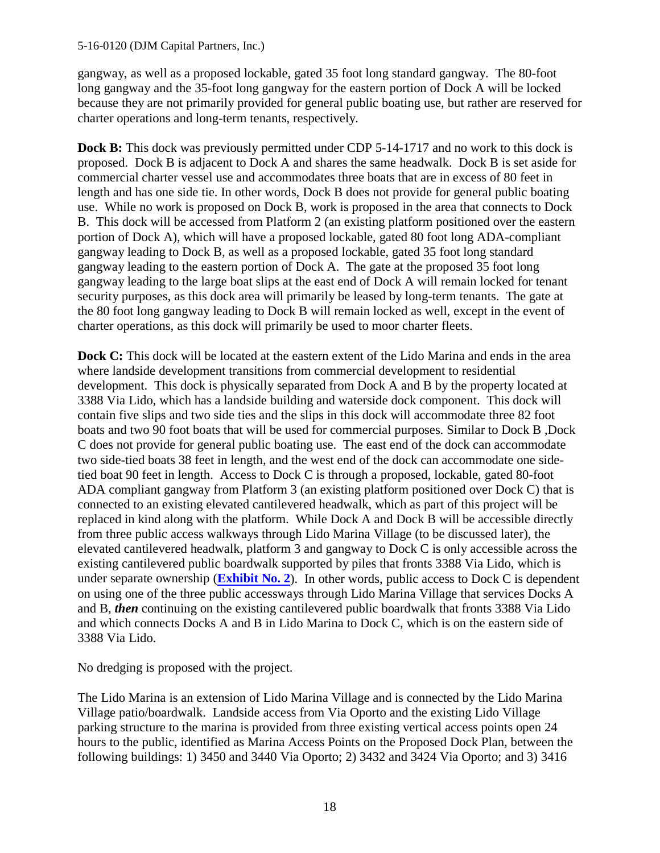#### 5-16-0120 (DJM Capital Partners, Inc.)

gangway, as well as a proposed lockable, gated 35 foot long standard gangway. The 80-foot long gangway and the 35-foot long gangway for the eastern portion of Dock A will be locked because they are not primarily provided for general public boating use, but rather are reserved for charter operations and long-term tenants, respectively.

**Dock B:** This dock was previously permitted under CDP 5-14-1717 and no work to this dock is proposed. Dock B is adjacent to Dock A and shares the same headwalk. Dock B is set aside for commercial charter vessel use and accommodates three boats that are in excess of 80 feet in length and has one side tie. In other words, Dock B does not provide for general public boating use. While no work is proposed on Dock B, work is proposed in the area that connects to Dock B. This dock will be accessed from Platform 2 (an existing platform positioned over the eastern portion of Dock A), which will have a proposed lockable, gated 80 foot long ADA-compliant gangway leading to Dock B, as well as a proposed lockable, gated 35 foot long standard gangway leading to the eastern portion of Dock A. The gate at the proposed 35 foot long gangway leading to the large boat slips at the east end of Dock A will remain locked for tenant security purposes, as this dock area will primarily be leased by long-term tenants. The gate at the 80 foot long gangway leading to Dock B will remain locked as well, except in the event of charter operations, as this dock will primarily be used to moor charter fleets.

**Dock C:** This dock will be located at the eastern extent of the Lido Marina and ends in the area where landside development transitions from commercial development to residential development. This dock is physically separated from Dock A and B by the property located at 3388 Via Lido, which has a landside building and waterside dock component. This dock will contain five slips and two side ties and the slips in this dock will accommodate three 82 foot boats and two 90 foot boats that will be used for commercial purposes. Similar to Dock B ,Dock C does not provide for general public boating use. The east end of the dock can accommodate two side-tied boats 38 feet in length, and the west end of the dock can accommodate one sidetied boat 90 feet in length. Access to Dock C is through a proposed, lockable, gated 80-foot ADA compliant gangway from Platform 3 (an existing platform positioned over Dock C) that is connected to an existing elevated cantilevered headwalk, which as part of this project will be replaced in kind along with the platform. While Dock A and Dock B will be accessible directly from three public access walkways through Lido Marina Village (to be discussed later), the elevated cantilevered headwalk, platform 3 and gangway to Dock C is only accessible across the existing cantilevered public boardwalk supported by piles that fronts 3388 Via Lido, which is under separate ownership (**[Exhibit No. 2](https://documents.coastal.ca.gov/reports/2017/5/F11a/F11a-5-2017-exhibits.pdf)**). In other words, public access to Dock C is dependent on using one of the three public accessways through Lido Marina Village that services Docks A and B, *then* continuing on the existing cantilevered public boardwalk that fronts 3388 Via Lido and which connects Docks A and B in Lido Marina to Dock C, which is on the eastern side of 3388 Via Lido.

No dredging is proposed with the project.

The Lido Marina is an extension of Lido Marina Village and is connected by the Lido Marina Village patio/boardwalk. Landside access from Via Oporto and the existing Lido Village parking structure to the marina is provided from three existing vertical access points open 24 hours to the public, identified as Marina Access Points on the Proposed Dock Plan, between the following buildings: 1) 3450 and 3440 Via Oporto; 2) 3432 and 3424 Via Oporto; and 3) 3416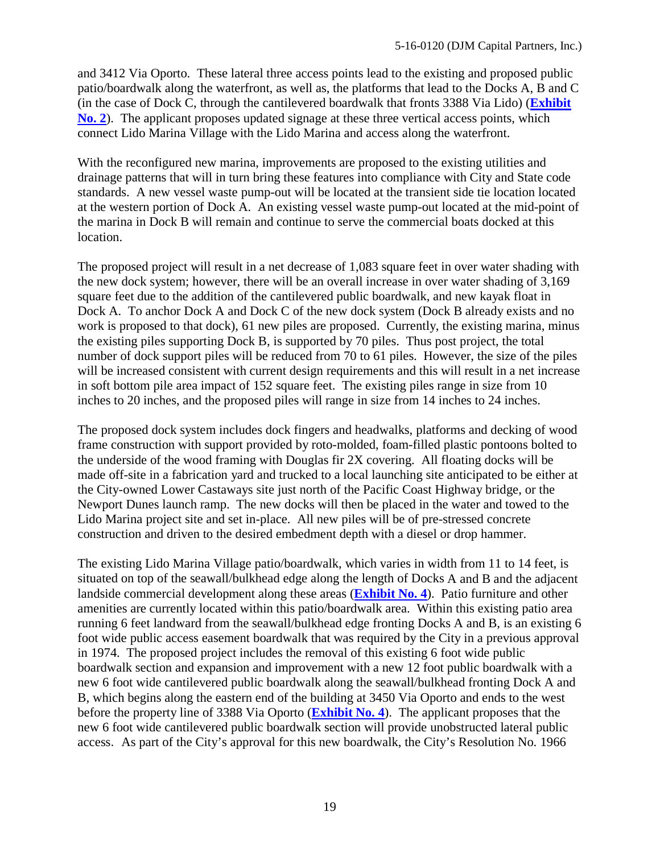and 3412 Via Oporto. These lateral three access points lead to the existing and proposed public patio/boardwalk along the waterfront, as well as, the platforms that lead to the Docks A, B and C (in the case of Dock C, through the cantilevered boardwalk that fronts 3388 Via Lido) (**[Exhibit](https://documents.coastal.ca.gov/reports/2017/5/F11a/F11a-5-2017-exhibits.pdf)  [No. 2](https://documents.coastal.ca.gov/reports/2017/5/F11a/F11a-5-2017-exhibits.pdf)**). The applicant proposes updated signage at these three vertical access points, which connect Lido Marina Village with the Lido Marina and access along the waterfront.

With the reconfigured new marina, improvements are proposed to the existing utilities and drainage patterns that will in turn bring these features into compliance with City and State code standards. A new vessel waste pump-out will be located at the transient side tie location located at the western portion of Dock A. An existing vessel waste pump-out located at the mid-point of the marina in Dock B will remain and continue to serve the commercial boats docked at this location.

The proposed project will result in a net decrease of 1,083 square feet in over water shading with the new dock system; however, there will be an overall increase in over water shading of 3,169 square feet due to the addition of the cantilevered public boardwalk, and new kayak float in Dock A. To anchor Dock A and Dock C of the new dock system (Dock B already exists and no work is proposed to that dock), 61 new piles are proposed. Currently, the existing marina, minus the existing piles supporting Dock B, is supported by 70 piles. Thus post project, the total number of dock support piles will be reduced from 70 to 61 piles. However, the size of the piles will be increased consistent with current design requirements and this will result in a net increase in soft bottom pile area impact of 152 square feet. The existing piles range in size from 10 inches to 20 inches, and the proposed piles will range in size from 14 inches to 24 inches.

The proposed dock system includes dock fingers and headwalks, platforms and decking of wood frame construction with support provided by roto-molded, foam-filled plastic pontoons bolted to the underside of the wood framing with Douglas fir 2X covering. All floating docks will be made off-site in a fabrication yard and trucked to a local launching site anticipated to be either at the City-owned Lower Castaways site just north of the Pacific Coast Highway bridge, or the Newport Dunes launch ramp. The new docks will then be placed in the water and towed to the Lido Marina project site and set in-place. All new piles will be of pre-stressed concrete construction and driven to the desired embedment depth with a diesel or drop hammer.

The existing Lido Marina Village patio/boardwalk, which varies in width from 11 to 14 feet, is situated on top of the seawall/bulkhead edge along the length of Docks A and B and the adjacent landside commercial development along these areas (**[Exhibit No. 4](https://documents.coastal.ca.gov/reports/2017/5/F11a/F11a-5-2017-exhibits.pdf)**). Patio furniture and other amenities are currently located within this patio/boardwalk area. Within this existing patio area running 6 feet landward from the seawall/bulkhead edge fronting Docks A and B, is an existing 6 foot wide public access easement boardwalk that was required by the City in a previous approval in 1974. The proposed project includes the removal of this existing 6 foot wide public boardwalk section and expansion and improvement with a new 12 foot public boardwalk with a new 6 foot wide cantilevered public boardwalk along the seawall/bulkhead fronting Dock A and B, which begins along the eastern end of the building at 3450 Via Oporto and ends to the west before the property line of 3388 Via Oporto (**[Exhibit No. 4](https://documents.coastal.ca.gov/reports/2017/5/F11a/F11a-5-2017-exhibits.pdf)**). The applicant proposes that the new 6 foot wide cantilevered public boardwalk section will provide unobstructed lateral public access. As part of the City's approval for this new boardwalk, the City's Resolution No. 1966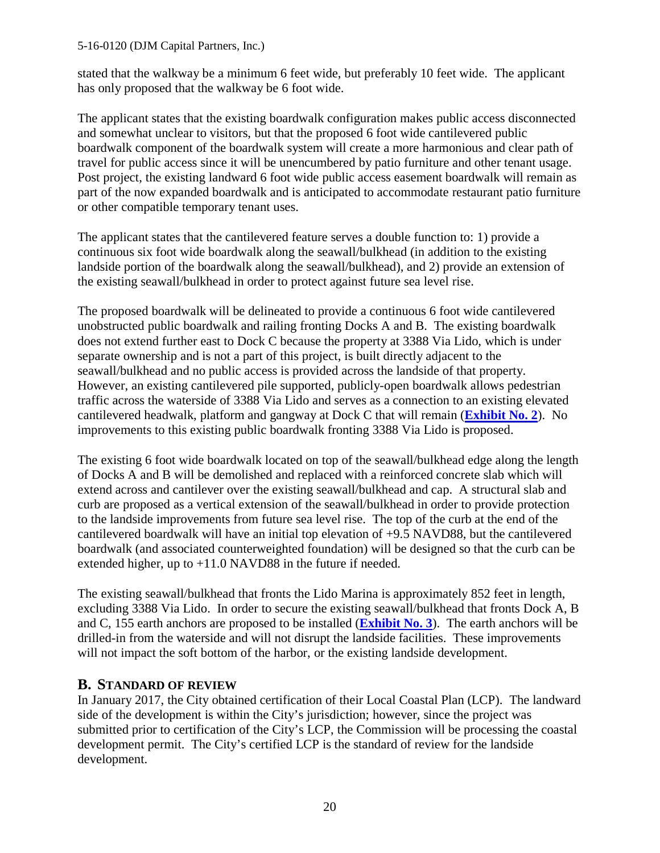#### 5-16-0120 (DJM Capital Partners, Inc.)

stated that the walkway be a minimum 6 feet wide, but preferably 10 feet wide. The applicant has only proposed that the walkway be 6 foot wide.

The applicant states that the existing boardwalk configuration makes public access disconnected and somewhat unclear to visitors, but that the proposed 6 foot wide cantilevered public boardwalk component of the boardwalk system will create a more harmonious and clear path of travel for public access since it will be unencumbered by patio furniture and other tenant usage. Post project, the existing landward 6 foot wide public access easement boardwalk will remain as part of the now expanded boardwalk and is anticipated to accommodate restaurant patio furniture or other compatible temporary tenant uses.

The applicant states that the cantilevered feature serves a double function to: 1) provide a continuous six foot wide boardwalk along the seawall/bulkhead (in addition to the existing landside portion of the boardwalk along the seawall/bulkhead), and 2) provide an extension of the existing seawall/bulkhead in order to protect against future sea level rise.

The proposed boardwalk will be delineated to provide a continuous 6 foot wide cantilevered unobstructed public boardwalk and railing fronting Docks A and B. The existing boardwalk does not extend further east to Dock C because the property at 3388 Via Lido, which is under separate ownership and is not a part of this project, is built directly adjacent to the seawall/bulkhead and no public access is provided across the landside of that property. However, an existing cantilevered pile supported, publicly-open boardwalk allows pedestrian traffic across the waterside of 3388 Via Lido and serves as a connection to an existing elevated cantilevered headwalk, platform and gangway at Dock C that will remain (**[Exhibit No. 2](https://documents.coastal.ca.gov/reports/2017/5/F11a/F11a-5-2017-exhibits.pdf)**). No improvements to this existing public boardwalk fronting 3388 Via Lido is proposed.

The existing 6 foot wide boardwalk located on top of the seawall/bulkhead edge along the length of Docks A and B will be demolished and replaced with a reinforced concrete slab which will extend across and cantilever over the existing seawall/bulkhead and cap. A structural slab and curb are proposed as a vertical extension of the seawall/bulkhead in order to provide protection to the landside improvements from future sea level rise. The top of the curb at the end of the cantilevered boardwalk will have an initial top elevation of +9.5 NAVD88, but the cantilevered boardwalk (and associated counterweighted foundation) will be designed so that the curb can be extended higher, up to  $+11.0$  NAVD88 in the future if needed.

The existing seawall/bulkhead that fronts the Lido Marina is approximately 852 feet in length, excluding 3388 Via Lido. In order to secure the existing seawall/bulkhead that fronts Dock A, B and C, 155 earth anchors are proposed to be installed (**[Exhibit No. 3](https://documents.coastal.ca.gov/reports/2017/5/F11a/F11a-5-2017-exhibits.pdf)**). The earth anchors will be drilled-in from the waterside and will not disrupt the landside facilities. These improvements will not impact the soft bottom of the harbor, or the existing landside development.

### <span id="page-19-0"></span>**B. STANDARD OF REVIEW**

In January 2017, the City obtained certification of their Local Coastal Plan (LCP). The landward side of the development is within the City's jurisdiction; however, since the project was submitted prior to certification of the City's LCP, the Commission will be processing the coastal development permit. The City's certified LCP is the standard of review for the landside development.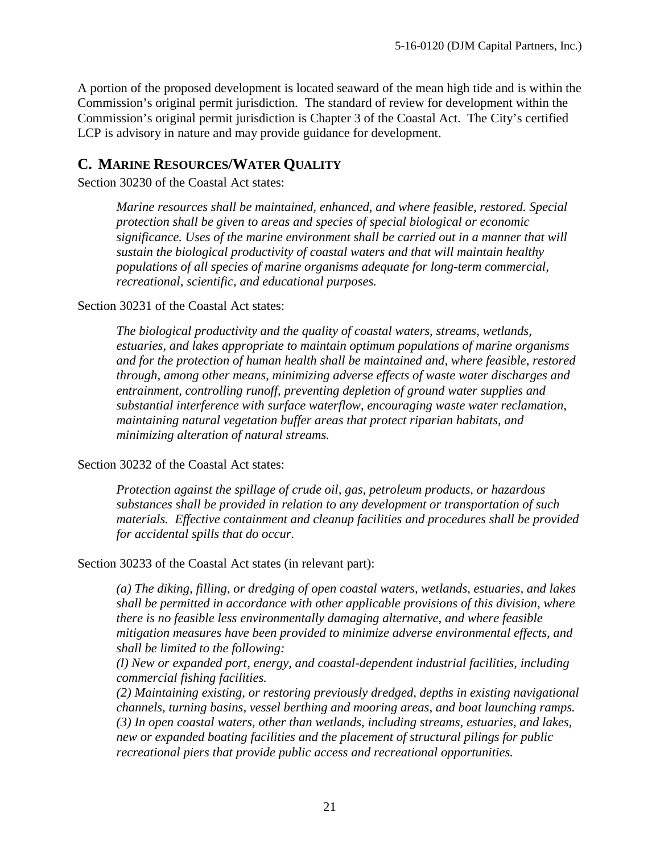A portion of the proposed development is located seaward of the mean high tide and is within the Commission's original permit jurisdiction. The standard of review for development within the Commission's original permit jurisdiction is Chapter 3 of the Coastal Act. The City's certified LCP is advisory in nature and may provide guidance for development.

## <span id="page-20-0"></span>**C. MARINE RESOURCES/WATER QUALITY**

Section 30230 of the Coastal Act states:

*Marine resources shall be maintained, enhanced, and where feasible, restored. Special protection shall be given to areas and species of special biological or economic significance. Uses of the marine environment shall be carried out in a manner that will sustain the biological productivity of coastal waters and that will maintain healthy populations of all species of marine organisms adequate for long-term commercial, recreational, scientific, and educational purposes.* 

Section 30231 of the Coastal Act states:

*The biological productivity and the quality of coastal waters, streams, wetlands, estuaries, and lakes appropriate to maintain optimum populations of marine organisms and for the protection of human health shall be maintained and, where feasible, restored through, among other means, minimizing adverse effects of waste water discharges and entrainment, controlling runoff, preventing depletion of ground water supplies and substantial interference with surface waterflow, encouraging waste water reclamation, maintaining natural vegetation buffer areas that protect riparian habitats, and minimizing alteration of natural streams.* 

#### Section 30232 of the Coastal Act states:

*Protection against the spillage of crude oil, gas, petroleum products, or hazardous substances shall be provided in relation to any development or transportation of such materials. Effective containment and cleanup facilities and procedures shall be provided for accidental spills that do occur.* 

Section 30233 of the Coastal Act states (in relevant part):

*(a) The diking, filling, or dredging of open coastal waters, wetlands, estuaries, and lakes shall be permitted in accordance with other applicable provisions of this division, where there is no feasible less environmentally damaging alternative, and where feasible mitigation measures have been provided to minimize adverse environmental effects, and shall be limited to the following:* 

*(l) New or expanded port, energy, and coastal-dependent industrial facilities, including commercial fishing facilities.*

*(2) Maintaining existing, or restoring previously dredged, depths in existing navigational channels, turning basins, vessel berthing and mooring areas, and boat launching ramps. (3) In open coastal waters, other than wetlands, including streams, estuaries, and lakes, new or expanded boating facilities and the placement of structural pilings for public recreational piers that provide public access and recreational opportunities.*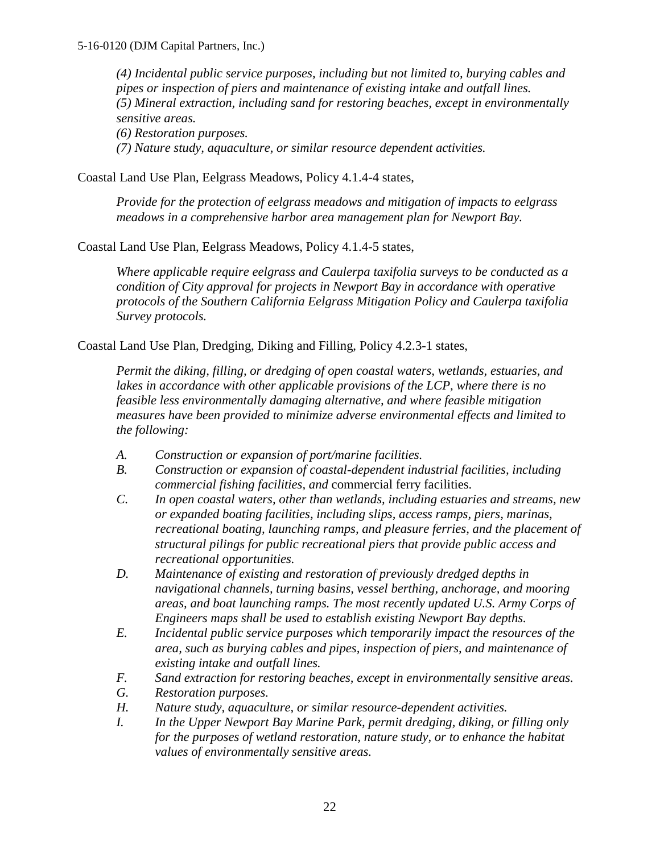*(4) Incidental public service purposes, including but not limited to, burying cables and pipes or inspection of piers and maintenance of existing intake and outfall lines. (5) Mineral extraction, including sand for restoring beaches, except in environmentally sensitive areas.* 

*(6) Restoration purposes.* 

*(7) Nature study, aquaculture, or similar resource dependent activities.*

Coastal Land Use Plan, Eelgrass Meadows, Policy 4.1.4-4 states,

*Provide for the protection of eelgrass meadows and mitigation of impacts to eelgrass meadows in a comprehensive harbor area management plan for Newport Bay.*

Coastal Land Use Plan, Eelgrass Meadows, Policy 4.1.4-5 states,

*Where applicable require eelgrass and Caulerpa taxifolia surveys to be conducted as a condition of City approval for projects in Newport Bay in accordance with operative protocols of the Southern California Eelgrass Mitigation Policy and Caulerpa taxifolia Survey protocols.* 

Coastal Land Use Plan, Dredging, Diking and Filling, Policy 4.2.3-1 states,

*Permit the diking, filling, or dredging of open coastal waters, wetlands, estuaries, and*  lakes in accordance with other applicable provisions of the LCP, where there is no *feasible less environmentally damaging alternative, and where feasible mitigation measures have been provided to minimize adverse environmental effects and limited to the following:* 

- *A. Construction or expansion of port/marine facilities.*
- *B. Construction or expansion of coastal-dependent industrial facilities, including commercial fishing facilities, and* commercial ferry facilities.
- *C. In open coastal waters, other than wetlands, including estuaries and streams, new or expanded boating facilities, including slips, access ramps, piers, marinas, recreational boating, launching ramps, and pleasure ferries, and the placement of structural pilings for public recreational piers that provide public access and recreational opportunities.*
- *D. Maintenance of existing and restoration of previously dredged depths in navigational channels, turning basins, vessel berthing, anchorage, and mooring areas, and boat launching ramps. The most recently updated U.S. Army Corps of Engineers maps shall be used to establish existing Newport Bay depths.*
- *E. Incidental public service purposes which temporarily impact the resources of the area, such as burying cables and pipes, inspection of piers, and maintenance of existing intake and outfall lines.*
- *F. Sand extraction for restoring beaches, except in environmentally sensitive areas.*
- *G. Restoration purposes.*
- *H. Nature study, aquaculture, or similar resource-dependent activities.*
- *I. In the Upper Newport Bay Marine Park, permit dredging, diking, or filling only for the purposes of wetland restoration, nature study, or to enhance the habitat values of environmentally sensitive areas.*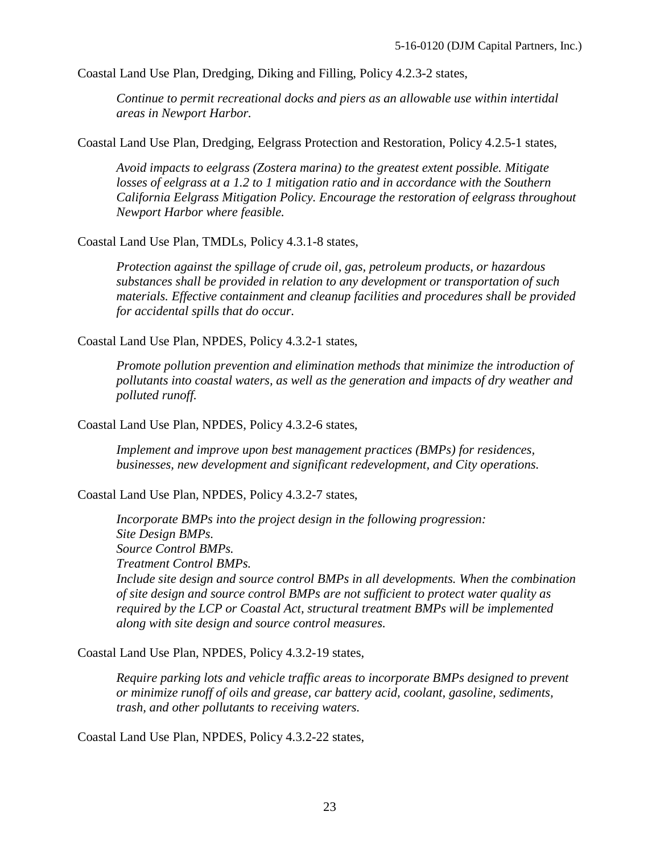Coastal Land Use Plan, Dredging, Diking and Filling, Policy 4.2.3-2 states,

*Continue to permit recreational docks and piers as an allowable use within intertidal areas in Newport Harbor.* 

Coastal Land Use Plan, Dredging, Eelgrass Protection and Restoration, Policy 4.2.5-1 states,

*Avoid impacts to eelgrass (Zostera marina) to the greatest extent possible. Mitigate losses of eelgrass at a 1.2 to 1 mitigation ratio and in accordance with the Southern California Eelgrass Mitigation Policy. Encourage the restoration of eelgrass throughout Newport Harbor where feasible.* 

Coastal Land Use Plan, TMDLs, Policy 4.3.1-8 states,

*Protection against the spillage of crude oil, gas, petroleum products, or hazardous substances shall be provided in relation to any development or transportation of such materials. Effective containment and cleanup facilities and procedures shall be provided for accidental spills that do occur.* 

Coastal Land Use Plan, NPDES, Policy 4.3.2-1 states,

*Promote pollution prevention and elimination methods that minimize the introduction of pollutants into coastal waters, as well as the generation and impacts of dry weather and polluted runoff.* 

Coastal Land Use Plan, NPDES, Policy 4.3.2-6 states,

*Implement and improve upon best management practices (BMPs) for residences, businesses, new development and significant redevelopment, and City operations.* 

Coastal Land Use Plan, NPDES, Policy 4.3.2-7 states,

*Incorporate BMPs into the project design in the following progression: Site Design BMPs. Source Control BMPs. Treatment Control BMPs. Include site design and source control BMPs in all developments. When the combination of site design and source control BMPs are not sufficient to protect water quality as required by the LCP or Coastal Act, structural treatment BMPs will be implemented along with site design and source control measures.* 

Coastal Land Use Plan, NPDES, Policy 4.3.2-19 states,

*Require parking lots and vehicle traffic areas to incorporate BMPs designed to prevent or minimize runoff of oils and grease, car battery acid, coolant, gasoline, sediments, trash, and other pollutants to receiving waters.* 

Coastal Land Use Plan, NPDES, Policy 4.3.2-22 states,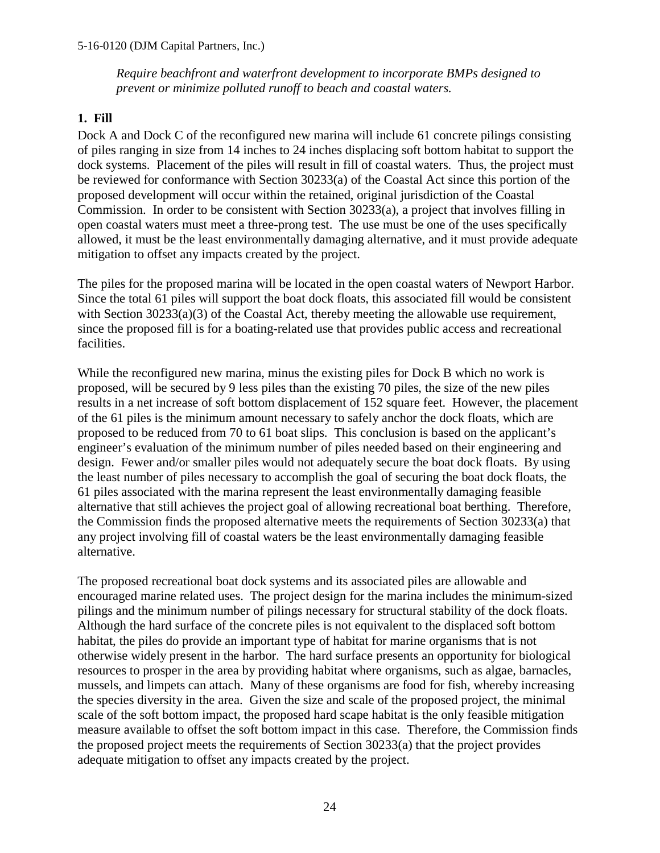#### 5-16-0120 (DJM Capital Partners, Inc.)

*Require beachfront and waterfront development to incorporate BMPs designed to prevent or minimize polluted runoff to beach and coastal waters.* 

### **1. Fill**

Dock A and Dock C of the reconfigured new marina will include 61 concrete pilings consisting of piles ranging in size from 14 inches to 24 inches displacing soft bottom habitat to support the dock systems. Placement of the piles will result in fill of coastal waters. Thus, the project must be reviewed for conformance with Section 30233(a) of the Coastal Act since this portion of the proposed development will occur within the retained, original jurisdiction of the Coastal Commission. In order to be consistent with Section 30233(a), a project that involves filling in open coastal waters must meet a three-prong test. The use must be one of the uses specifically allowed, it must be the least environmentally damaging alternative, and it must provide adequate mitigation to offset any impacts created by the project.

The piles for the proposed marina will be located in the open coastal waters of Newport Harbor. Since the total 61 piles will support the boat dock floats, this associated fill would be consistent with Section 30233(a)(3) of the Coastal Act, thereby meeting the allowable use requirement, since the proposed fill is for a boating-related use that provides public access and recreational facilities.

While the reconfigured new marina, minus the existing piles for Dock B which no work is proposed, will be secured by 9 less piles than the existing 70 piles, the size of the new piles results in a net increase of soft bottom displacement of 152 square feet. However, the placement of the 61 piles is the minimum amount necessary to safely anchor the dock floats, which are proposed to be reduced from 70 to 61 boat slips. This conclusion is based on the applicant's engineer's evaluation of the minimum number of piles needed based on their engineering and design. Fewer and/or smaller piles would not adequately secure the boat dock floats. By using the least number of piles necessary to accomplish the goal of securing the boat dock floats, the 61 piles associated with the marina represent the least environmentally damaging feasible alternative that still achieves the project goal of allowing recreational boat berthing. Therefore, the Commission finds the proposed alternative meets the requirements of Section 30233(a) that any project involving fill of coastal waters be the least environmentally damaging feasible alternative.

The proposed recreational boat dock systems and its associated piles are allowable and encouraged marine related uses. The project design for the marina includes the minimum-sized pilings and the minimum number of pilings necessary for structural stability of the dock floats. Although the hard surface of the concrete piles is not equivalent to the displaced soft bottom habitat, the piles do provide an important type of habitat for marine organisms that is not otherwise widely present in the harbor. The hard surface presents an opportunity for biological resources to prosper in the area by providing habitat where organisms, such as algae, barnacles, mussels, and limpets can attach. Many of these organisms are food for fish, whereby increasing the species diversity in the area. Given the size and scale of the proposed project, the minimal scale of the soft bottom impact, the proposed hard scape habitat is the only feasible mitigation measure available to offset the soft bottom impact in this case. Therefore, the Commission finds the proposed project meets the requirements of Section 30233(a) that the project provides adequate mitigation to offset any impacts created by the project.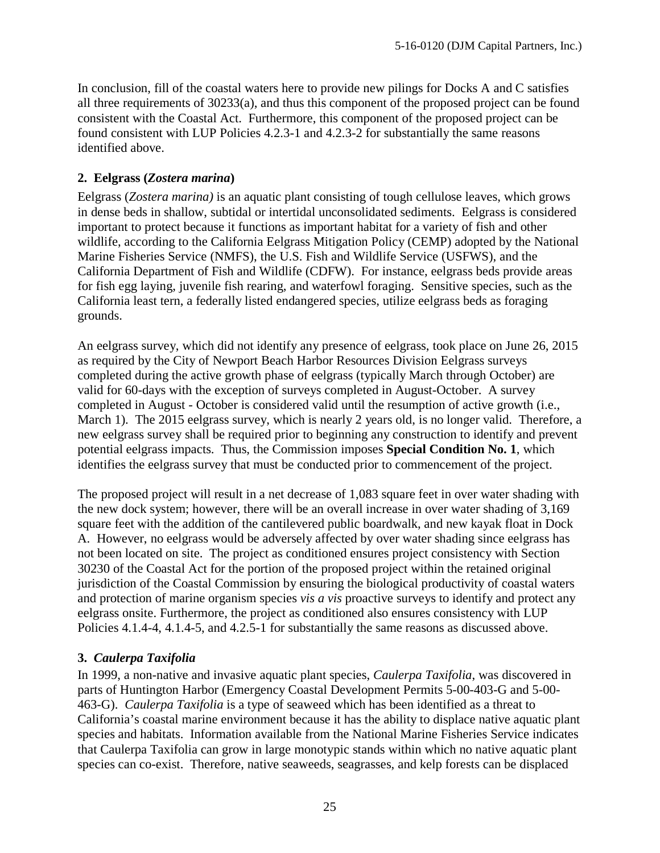In conclusion, fill of the coastal waters here to provide new pilings for Docks A and C satisfies all three requirements of 30233(a), and thus this component of the proposed project can be found consistent with the Coastal Act. Furthermore, this component of the proposed project can be found consistent with LUP Policies 4.2.3-1 and 4.2.3-2 for substantially the same reasons identified above.

## **2. Eelgrass (***Zostera marina***)**

Eelgrass (*Zostera marina)* is an aquatic plant consisting of tough cellulose leaves, which grows in dense beds in shallow, subtidal or intertidal unconsolidated sediments. Eelgrass is considered important to protect because it functions as important habitat for a variety of fish and other wildlife, according to the California Eelgrass Mitigation Policy (CEMP) adopted by the National Marine Fisheries Service (NMFS), the U.S. Fish and Wildlife Service (USFWS), and the California Department of Fish and Wildlife (CDFW). For instance, eelgrass beds provide areas for fish egg laying, juvenile fish rearing, and waterfowl foraging. Sensitive species, such as the California least tern, a federally listed endangered species, utilize eelgrass beds as foraging grounds.

An eelgrass survey, which did not identify any presence of eelgrass, took place on June 26, 2015 as required by the City of Newport Beach Harbor Resources Division Eelgrass surveys completed during the active growth phase of eelgrass (typically March through October) are valid for 60-days with the exception of surveys completed in August-October. A survey completed in August - October is considered valid until the resumption of active growth (i.e., March 1). The 2015 eelgrass survey, which is nearly 2 years old, is no longer valid. Therefore, a new eelgrass survey shall be required prior to beginning any construction to identify and prevent potential eelgrass impacts. Thus, the Commission imposes **Special Condition No. 1**, which identifies the eelgrass survey that must be conducted prior to commencement of the project.

The proposed project will result in a net decrease of 1,083 square feet in over water shading with the new dock system; however, there will be an overall increase in over water shading of 3,169 square feet with the addition of the cantilevered public boardwalk, and new kayak float in Dock A. However, no eelgrass would be adversely affected by over water shading since eelgrass has not been located on site. The project as conditioned ensures project consistency with Section 30230 of the Coastal Act for the portion of the proposed project within the retained original jurisdiction of the Coastal Commission by ensuring the biological productivity of coastal waters and protection of marine organism species *vis a vis* proactive surveys to identify and protect any eelgrass onsite. Furthermore, the project as conditioned also ensures consistency with LUP Policies 4.1.4-4, 4.1.4-5, and 4.2.5-1 for substantially the same reasons as discussed above.

### **3.** *Caulerpa Taxifolia*

In 1999, a non-native and invasive aquatic plant species, *Caulerpa Taxifolia*, was discovered in parts of Huntington Harbor (Emergency Coastal Development Permits 5-00-403-G and 5-00- 463-G). *Caulerpa Taxifolia* is a type of seaweed which has been identified as a threat to California's coastal marine environment because it has the ability to displace native aquatic plant species and habitats. Information available from the National Marine Fisheries Service indicates that Caulerpa Taxifolia can grow in large monotypic stands within which no native aquatic plant species can co-exist. Therefore, native seaweeds, seagrasses, and kelp forests can be displaced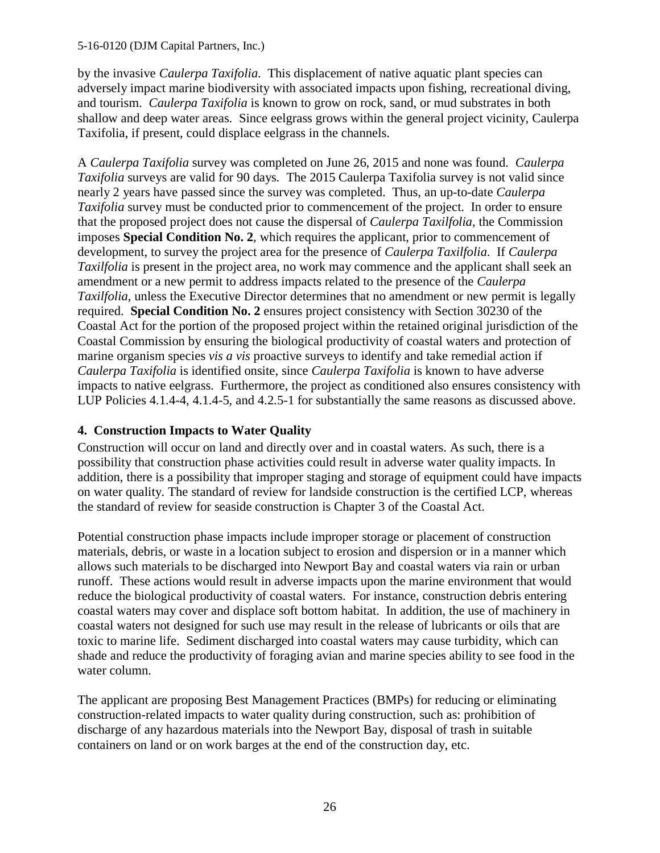#### 5-16-0120 (DJM Capital Partners, Inc.)

by the invasive *Caulerpa Taxifolia*. This displacement of native aquatic plant species can adversely impact marine biodiversity with associated impacts upon fishing, recreational diving, and tourism. *Caulerpa Taxifolia* is known to grow on rock, sand, or mud substrates in both shallow and deep water areas. Since eelgrass grows within the general project vicinity, Caulerpa Taxifolia, if present, could displace eelgrass in the channels.

A *Caulerpa Taxifolia* survey was completed on June 26, 2015 and none was found. *Caulerpa Taxifolia* surveys are valid for 90 days. The 2015 Caulerpa Taxifolia survey is not valid since nearly 2 years have passed since the survey was completed. Thus, an up-to-date *Caulerpa Taxifolia* survey must be conducted prior to commencement of the project. In order to ensure that the proposed project does not cause the dispersal of *Caulerpa Taxilfolia*, the Commission imposes **Special Condition No. 2**, which requires the applicant, prior to commencement of development, to survey the project area for the presence of *Caulerpa Taxilfolia*. If *Caulerpa Taxilfolia* is present in the project area, no work may commence and the applicant shall seek an amendment or a new permit to address impacts related to the presence of the *Caulerpa Taxilfolia*, unless the Executive Director determines that no amendment or new permit is legally required. **Special Condition No. 2** ensures project consistency with Section 30230 of the Coastal Act for the portion of the proposed project within the retained original jurisdiction of the Coastal Commission by ensuring the biological productivity of coastal waters and protection of marine organism species *vis a vis* proactive surveys to identify and take remedial action if *Caulerpa Taxifolia* is identified onsite, since *Caulerpa Taxifolia* is known to have adverse impacts to native eelgrass. Furthermore, the project as conditioned also ensures consistency with LUP Policies 4.1.4-4, 4.1.4-5, and 4.2.5-1 for substantially the same reasons as discussed above.

### **4. Construction Impacts to Water Quality**

Construction will occur on land and directly over and in coastal waters. As such, there is a possibility that construction phase activities could result in adverse water quality impacts. In addition, there is a possibility that improper staging and storage of equipment could have impacts on water quality. The standard of review for landside construction is the certified LCP, whereas the standard of review for seaside construction is Chapter 3 of the Coastal Act.

Potential construction phase impacts include improper storage or placement of construction materials, debris, or waste in a location subject to erosion and dispersion or in a manner which allows such materials to be discharged into Newport Bay and coastal waters via rain or urban runoff. These actions would result in adverse impacts upon the marine environment that would reduce the biological productivity of coastal waters. For instance, construction debris entering coastal waters may cover and displace soft bottom habitat. In addition, the use of machinery in coastal waters not designed for such use may result in the release of lubricants or oils that are toxic to marine life. Sediment discharged into coastal waters may cause turbidity, which can shade and reduce the productivity of foraging avian and marine species ability to see food in the water column.

The applicant are proposing Best Management Practices (BMPs) for reducing or eliminating construction-related impacts to water quality during construction, such as: prohibition of discharge of any hazardous materials into the Newport Bay, disposal of trash in suitable containers on land or on work barges at the end of the construction day, etc.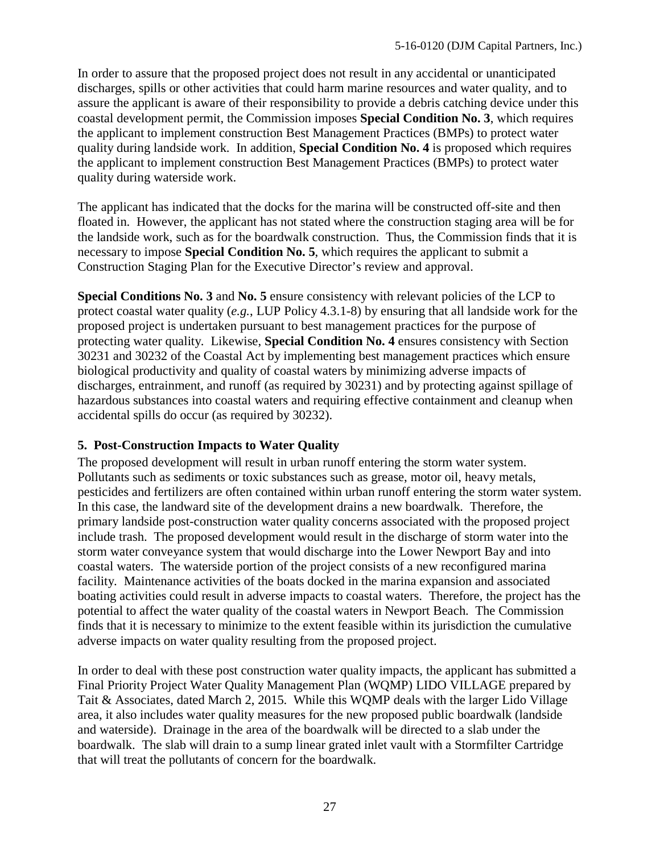In order to assure that the proposed project does not result in any accidental or unanticipated discharges, spills or other activities that could harm marine resources and water quality, and to assure the applicant is aware of their responsibility to provide a debris catching device under this coastal development permit, the Commission imposes **Special Condition No. 3**, which requires the applicant to implement construction Best Management Practices (BMPs) to protect water quality during landside work. In addition, **Special Condition No. 4** is proposed which requires the applicant to implement construction Best Management Practices (BMPs) to protect water quality during waterside work.

The applicant has indicated that the docks for the marina will be constructed off-site and then floated in. However, the applicant has not stated where the construction staging area will be for the landside work, such as for the boardwalk construction. Thus, the Commission finds that it is necessary to impose **Special Condition No. 5**, which requires the applicant to submit a Construction Staging Plan for the Executive Director's review and approval.

**Special Conditions No. 3** and **No. 5** ensure consistency with relevant policies of the LCP to protect coastal water quality (*e.g.*, LUP Policy 4.3.1-8) by ensuring that all landside work for the proposed project is undertaken pursuant to best management practices for the purpose of protecting water quality. Likewise, **Special Condition No. 4** ensures consistency with Section 30231 and 30232 of the Coastal Act by implementing best management practices which ensure biological productivity and quality of coastal waters by minimizing adverse impacts of discharges, entrainment, and runoff (as required by 30231) and by protecting against spillage of hazardous substances into coastal waters and requiring effective containment and cleanup when accidental spills do occur (as required by 30232).

## **5. Post-Construction Impacts to Water Quality**

The proposed development will result in urban runoff entering the storm water system. Pollutants such as sediments or toxic substances such as grease, motor oil, heavy metals, pesticides and fertilizers are often contained within urban runoff entering the storm water system. In this case, the landward site of the development drains a new boardwalk. Therefore, the primary landside post-construction water quality concerns associated with the proposed project include trash. The proposed development would result in the discharge of storm water into the storm water conveyance system that would discharge into the Lower Newport Bay and into coastal waters. The waterside portion of the project consists of a new reconfigured marina facility. Maintenance activities of the boats docked in the marina expansion and associated boating activities could result in adverse impacts to coastal waters. Therefore, the project has the potential to affect the water quality of the coastal waters in Newport Beach. The Commission finds that it is necessary to minimize to the extent feasible within its jurisdiction the cumulative adverse impacts on water quality resulting from the proposed project.

In order to deal with these post construction water quality impacts, the applicant has submitted a Final Priority Project Water Quality Management Plan (WQMP) LIDO VILLAGE prepared by Tait & Associates, dated March 2, 2015. While this WQMP deals with the larger Lido Village area, it also includes water quality measures for the new proposed public boardwalk (landside and waterside). Drainage in the area of the boardwalk will be directed to a slab under the boardwalk. The slab will drain to a sump linear grated inlet vault with a Stormfilter Cartridge that will treat the pollutants of concern for the boardwalk.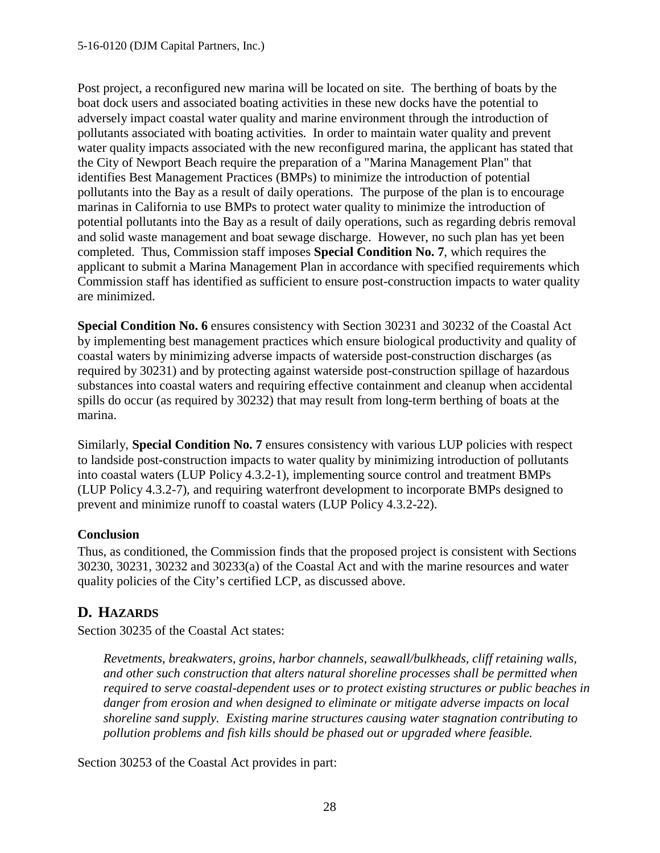Post project, a reconfigured new marina will be located on site. The berthing of boats by the boat dock users and associated boating activities in these new docks have the potential to adversely impact coastal water quality and marine environment through the introduction of pollutants associated with boating activities. In order to maintain water quality and prevent water quality impacts associated with the new reconfigured marina, the applicant has stated that the City of Newport Beach require the preparation of a "Marina Management Plan" that identifies Best Management Practices (BMPs) to minimize the introduction of potential pollutants into the Bay as a result of daily operations. The purpose of the plan is to encourage marinas in California to use BMPs to protect water quality to minimize the introduction of potential pollutants into the Bay as a result of daily operations, such as regarding debris removal and solid waste management and boat sewage discharge. However, no such plan has yet been completed. Thus, Commission staff imposes **Special Condition No. 7**, which requires the applicant to submit a Marina Management Plan in accordance with specified requirements which Commission staff has identified as sufficient to ensure post-construction impacts to water quality are minimized.

**Special Condition No. 6** ensures consistency with Section 30231 and 30232 of the Coastal Act by implementing best management practices which ensure biological productivity and quality of coastal waters by minimizing adverse impacts of waterside post-construction discharges (as required by 30231) and by protecting against waterside post-construction spillage of hazardous substances into coastal waters and requiring effective containment and cleanup when accidental spills do occur (as required by 30232) that may result from long-term berthing of boats at the marina.

Similarly, **Special Condition No. 7** ensures consistency with various LUP policies with respect to landside post-construction impacts to water quality by minimizing introduction of pollutants into coastal waters (LUP Policy 4.3.2-1), implementing source control and treatment BMPs (LUP Policy 4.3.2-7), and requiring waterfront development to incorporate BMPs designed to prevent and minimize runoff to coastal waters (LUP Policy 4.3.2-22).

## **Conclusion**

Thus, as conditioned, the Commission finds that the proposed project is consistent with Sections 30230, 30231, 30232 and 30233(a) of the Coastal Act and with the marine resources and water quality policies of the City's certified LCP, as discussed above.

# <span id="page-27-0"></span>**D. HAZARDS**

Section 30235 of the Coastal Act states:

*Revetments, breakwaters, groins, harbor channels, seawall/bulkheads, cliff retaining walls, and other such construction that alters natural shoreline processes shall be permitted when required to serve coastal-dependent uses or to protect existing structures or public beaches in danger from erosion and when designed to eliminate or mitigate adverse impacts on local shoreline sand supply. Existing marine structures causing water stagnation contributing to pollution problems and fish kills should be phased out or upgraded where feasible.* 

Section 30253 of the Coastal Act provides in part: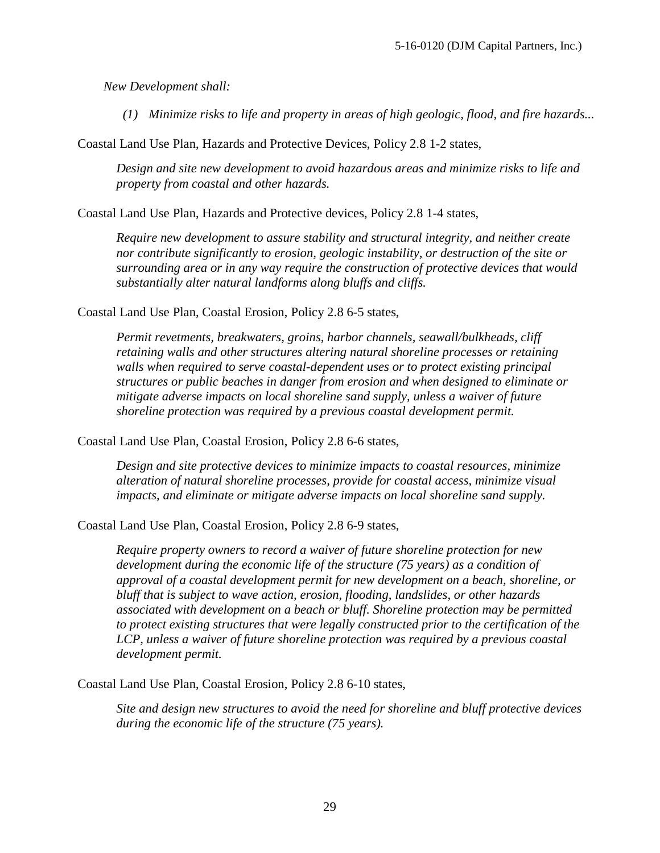*New Development shall:*

 *(1) Minimize risks to life and property in areas of high geologic, flood, and fire hazards...* 

Coastal Land Use Plan, Hazards and Protective Devices, Policy 2.8 1-2 states,

*Design and site new development to avoid hazardous areas and minimize risks to life and property from coastal and other hazards.* 

Coastal Land Use Plan, Hazards and Protective devices, Policy 2.8 1-4 states,

*Require new development to assure stability and structural integrity, and neither create nor contribute significantly to erosion, geologic instability, or destruction of the site or surrounding area or in any way require the construction of protective devices that would substantially alter natural landforms along bluffs and cliffs.* 

Coastal Land Use Plan, Coastal Erosion, Policy 2.8 6-5 states,

*Permit revetments, breakwaters, groins, harbor channels, seawall/bulkheads, cliff retaining walls and other structures altering natural shoreline processes or retaining walls when required to serve coastal-dependent uses or to protect existing principal structures or public beaches in danger from erosion and when designed to eliminate or mitigate adverse impacts on local shoreline sand supply, unless a waiver of future shoreline protection was required by a previous coastal development permit.* 

Coastal Land Use Plan, Coastal Erosion, Policy 2.8 6-6 states,

*Design and site protective devices to minimize impacts to coastal resources, minimize alteration of natural shoreline processes, provide for coastal access, minimize visual impacts, and eliminate or mitigate adverse impacts on local shoreline sand supply.* 

Coastal Land Use Plan, Coastal Erosion, Policy 2.8 6-9 states,

*Require property owners to record a waiver of future shoreline protection for new development during the economic life of the structure (75 years) as a condition of approval of a coastal development permit for new development on a beach, shoreline, or bluff that is subject to wave action, erosion, flooding, landslides, or other hazards associated with development on a beach or bluff. Shoreline protection may be permitted to protect existing structures that were legally constructed prior to the certification of the LCP, unless a waiver of future shoreline protection was required by a previous coastal development permit.*

Coastal Land Use Plan, Coastal Erosion, Policy 2.8 6-10 states,

*Site and design new structures to avoid the need for shoreline and bluff protective devices during the economic life of the structure (75 years).*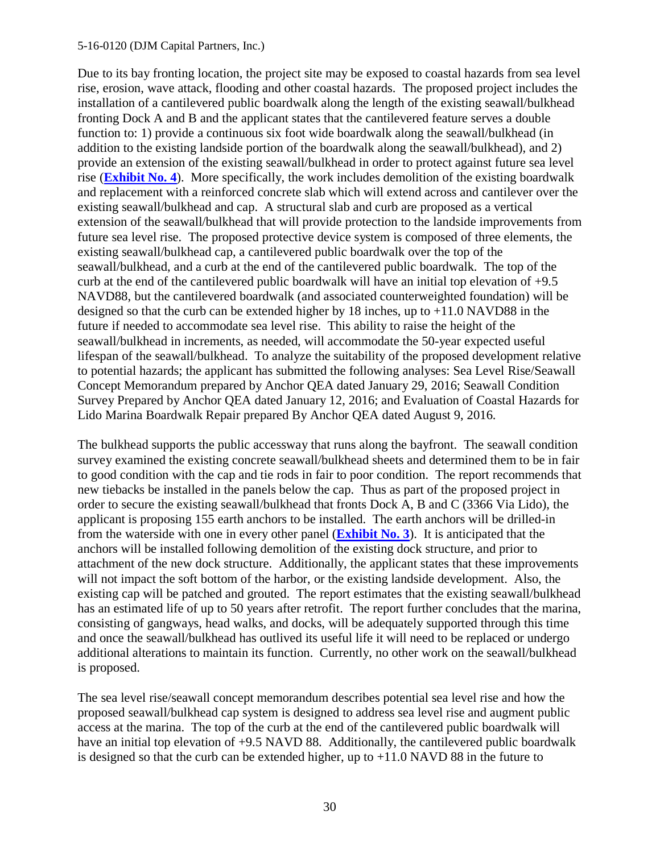#### 5-16-0120 (DJM Capital Partners, Inc.)

Due to its bay fronting location, the project site may be exposed to coastal hazards from sea level rise, erosion, wave attack, flooding and other coastal hazards. The proposed project includes the installation of a cantilevered public boardwalk along the length of the existing seawall/bulkhead fronting Dock A and B and the applicant states that the cantilevered feature serves a double function to: 1) provide a continuous six foot wide boardwalk along the seawall/bulkhead (in addition to the existing landside portion of the boardwalk along the seawall/bulkhead), and 2) provide an extension of the existing seawall/bulkhead in order to protect against future sea level rise (**[Exhibit No. 4](https://documents.coastal.ca.gov/reports/2017/5/F11a/F11a-5-2017-exhibits.pdf)**). More specifically, the work includes demolition of the existing boardwalk and replacement with a reinforced concrete slab which will extend across and cantilever over the existing seawall/bulkhead and cap. A structural slab and curb are proposed as a vertical extension of the seawall/bulkhead that will provide protection to the landside improvements from future sea level rise. The proposed protective device system is composed of three elements, the existing seawall/bulkhead cap, a cantilevered public boardwalk over the top of the seawall/bulkhead, and a curb at the end of the cantilevered public boardwalk. The top of the curb at the end of the cantilevered public boardwalk will have an initial top elevation of +9.5 NAVD88, but the cantilevered boardwalk (and associated counterweighted foundation) will be designed so that the curb can be extended higher by 18 inches, up to +11.0 NAVD88 in the future if needed to accommodate sea level rise. This ability to raise the height of the seawall/bulkhead in increments, as needed, will accommodate the 50-year expected useful lifespan of the seawall/bulkhead. To analyze the suitability of the proposed development relative to potential hazards; the applicant has submitted the following analyses: Sea Level Rise/Seawall Concept Memorandum prepared by Anchor QEA dated January 29, 2016; Seawall Condition Survey Prepared by Anchor QEA dated January 12, 2016; and Evaluation of Coastal Hazards for Lido Marina Boardwalk Repair prepared By Anchor QEA dated August 9, 2016.

The bulkhead supports the public accessway that runs along the bayfront. The seawall condition survey examined the existing concrete seawall/bulkhead sheets and determined them to be in fair to good condition with the cap and tie rods in fair to poor condition. The report recommends that new tiebacks be installed in the panels below the cap. Thus as part of the proposed project in order to secure the existing seawall/bulkhead that fronts Dock A, B and C (3366 Via Lido), the applicant is proposing 155 earth anchors to be installed. The earth anchors will be drilled-in from the waterside with one in every other panel (**[Exhibit No. 3](https://documents.coastal.ca.gov/reports/2017/5/F11a/F11a-5-2017-exhibits.pdf)**). It is anticipated that the anchors will be installed following demolition of the existing dock structure, and prior to attachment of the new dock structure. Additionally, the applicant states that these improvements will not impact the soft bottom of the harbor, or the existing landside development. Also, the existing cap will be patched and grouted. The report estimates that the existing seawall/bulkhead has an estimated life of up to 50 years after retrofit. The report further concludes that the marina, consisting of gangways, head walks, and docks, will be adequately supported through this time and once the seawall/bulkhead has outlived its useful life it will need to be replaced or undergo additional alterations to maintain its function. Currently, no other work on the seawall/bulkhead is proposed.

The sea level rise/seawall concept memorandum describes potential sea level rise and how the proposed seawall/bulkhead cap system is designed to address sea level rise and augment public access at the marina. The top of the curb at the end of the cantilevered public boardwalk will have an initial top elevation of +9.5 NAVD 88. Additionally, the cantilevered public boardwalk is designed so that the curb can be extended higher, up to  $+11.0$  NAVD 88 in the future to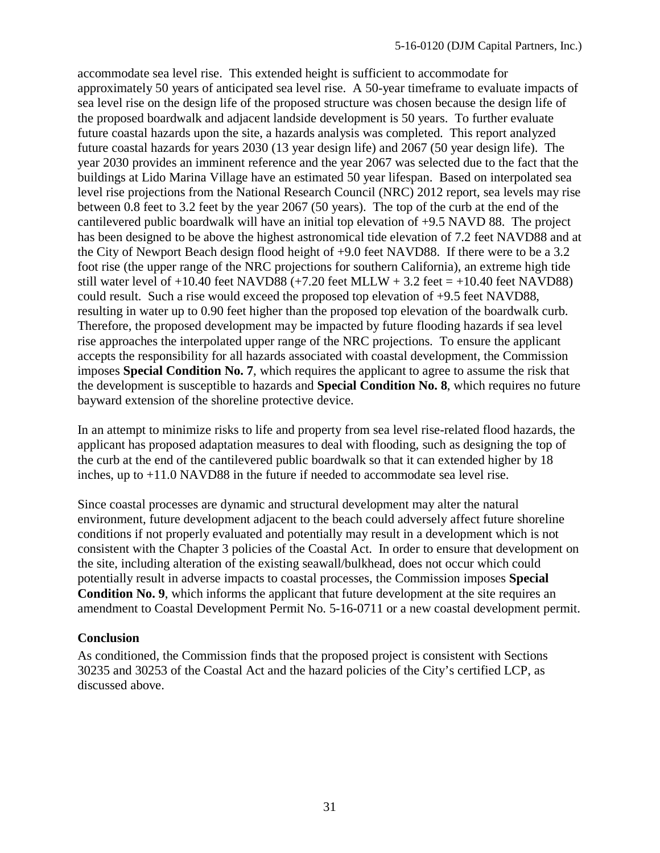accommodate sea level rise. This extended height is sufficient to accommodate for approximately 50 years of anticipated sea level rise. A 50-year timeframe to evaluate impacts of sea level rise on the design life of the proposed structure was chosen because the design life of the proposed boardwalk and adjacent landside development is 50 years. To further evaluate future coastal hazards upon the site, a hazards analysis was completed. This report analyzed future coastal hazards for years 2030 (13 year design life) and 2067 (50 year design life). The year 2030 provides an imminent reference and the year 2067 was selected due to the fact that the buildings at Lido Marina Village have an estimated 50 year lifespan. Based on interpolated sea level rise projections from the National Research Council (NRC) 2012 report, sea levels may rise between 0.8 feet to 3.2 feet by the year 2067 (50 years). The top of the curb at the end of the cantilevered public boardwalk will have an initial top elevation of +9.5 NAVD 88. The project has been designed to be above the highest astronomical tide elevation of 7.2 feet NAVD88 and at the City of Newport Beach design flood height of +9.0 feet NAVD88. If there were to be a 3.2 foot rise (the upper range of the NRC projections for southern California), an extreme high tide still water level of  $+10.40$  feet NAVD88  $(+7.20$  feet MLLW  $+ 3.2$  feet  $= +10.40$  feet NAVD88) could result. Such a rise would exceed the proposed top elevation of +9.5 feet NAVD88, resulting in water up to 0.90 feet higher than the proposed top elevation of the boardwalk curb. Therefore, the proposed development may be impacted by future flooding hazards if sea level rise approaches the interpolated upper range of the NRC projections. To ensure the applicant accepts the responsibility for all hazards associated with coastal development, the Commission imposes **Special Condition No. 7**, which requires the applicant to agree to assume the risk that the development is susceptible to hazards and **Special Condition No. 8**, which requires no future bayward extension of the shoreline protective device.

In an attempt to minimize risks to life and property from sea level rise-related flood hazards, the applicant has proposed adaptation measures to deal with flooding, such as designing the top of the curb at the end of the cantilevered public boardwalk so that it can extended higher by 18 inches, up to +11.0 NAVD88 in the future if needed to accommodate sea level rise.

Since coastal processes are dynamic and structural development may alter the natural environment, future development adjacent to the beach could adversely affect future shoreline conditions if not properly evaluated and potentially may result in a development which is not consistent with the Chapter 3 policies of the Coastal Act. In order to ensure that development on the site, including alteration of the existing seawall/bulkhead, does not occur which could potentially result in adverse impacts to coastal processes, the Commission imposes **Special Condition No. 9**, which informs the applicant that future development at the site requires an amendment to Coastal Development Permit No. 5-16-0711 or a new coastal development permit.

### **Conclusion**

As conditioned, the Commission finds that the proposed project is consistent with Sections 30235 and 30253 of the Coastal Act and the hazard policies of the City's certified LCP, as discussed above.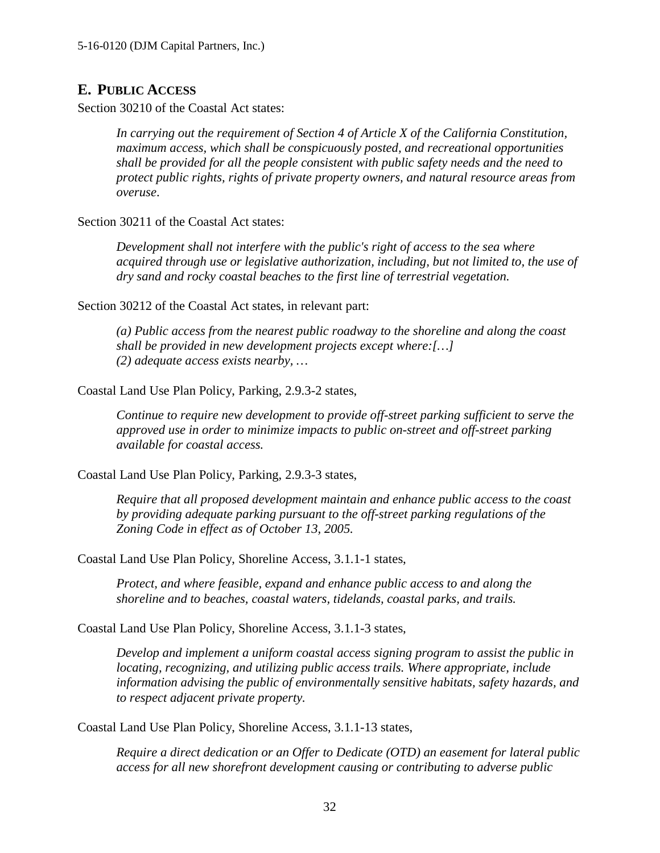# <span id="page-31-0"></span>**E. PUBLIC ACCESS**

Section 30210 of the Coastal Act states:

*In carrying out the requirement of Section 4 of Article X of the California Constitution, maximum access, which shall be conspicuously posted, and recreational opportunities shall be provided for all the people consistent with public safety needs and the need to protect public rights, rights of private property owners, and natural resource areas from overuse*.

Section 30211 of the Coastal Act states:

*Development shall not interfere with the public's right of access to the sea where acquired through use or legislative authorization, including, but not limited to, the use of dry sand and rocky coastal beaches to the first line of terrestrial vegetation.*

Section 30212 of the Coastal Act states, in relevant part:

*(a) Public access from the nearest public roadway to the shoreline and along the coast shall be provided in new development projects except where:[…] (2) adequate access exists nearby, …*

Coastal Land Use Plan Policy, Parking, 2.9.3-2 states,

*Continue to require new development to provide off-street parking sufficient to serve the approved use in order to minimize impacts to public on-street and off-street parking available for coastal access.* 

Coastal Land Use Plan Policy, Parking, 2.9.3-3 states,

*Require that all proposed development maintain and enhance public access to the coast by providing adequate parking pursuant to the off-street parking regulations of the Zoning Code in effect as of October 13, 2005.*

Coastal Land Use Plan Policy, Shoreline Access, 3.1.1-1 states,

*Protect, and where feasible, expand and enhance public access to and along the shoreline and to beaches, coastal waters, tidelands, coastal parks, and trails.* 

Coastal Land Use Plan Policy, Shoreline Access, 3.1.1-3 states,

*Develop and implement a uniform coastal access signing program to assist the public in locating, recognizing, and utilizing public access trails. Where appropriate, include information advising the public of environmentally sensitive habitats, safety hazards, and to respect adjacent private property.*

Coastal Land Use Plan Policy, Shoreline Access, 3.1.1-13 states,

*Require a direct dedication or an Offer to Dedicate (OTD) an easement for lateral public access for all new shorefront development causing or contributing to adverse public*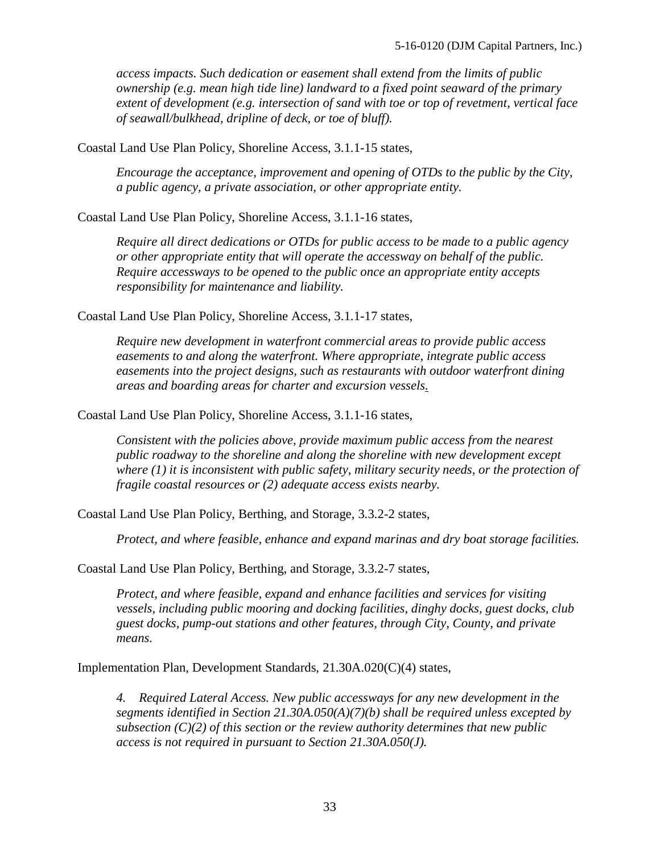*access impacts. Such dedication or easement shall extend from the limits of public ownership (e.g. mean high tide line) landward to a fixed point seaward of the primary extent of development (e.g. intersection of sand with toe or top of revetment, vertical face of seawall/bulkhead, dripline of deck, or toe of bluff).* 

Coastal Land Use Plan Policy, Shoreline Access, 3.1.1-15 states,

*Encourage the acceptance, improvement and opening of OTDs to the public by the City, a public agency, a private association, or other appropriate entity.* 

Coastal Land Use Plan Policy, Shoreline Access, 3.1.1-16 states,

*Require all direct dedications or OTDs for public access to be made to a public agency or other appropriate entity that will operate the accessway on behalf of the public. Require accessways to be opened to the public once an appropriate entity accepts responsibility for maintenance and liability.* 

Coastal Land Use Plan Policy, Shoreline Access, 3.1.1-17 states,

*Require new development in waterfront commercial areas to provide public access easements to and along the waterfront. Where appropriate, integrate public access easements into the project designs, such as restaurants with outdoor waterfront dining areas and boarding areas for charter and excursion vessels.*

Coastal Land Use Plan Policy, Shoreline Access, 3.1.1-16 states,

*Consistent with the policies above, provide maximum public access from the nearest public roadway to the shoreline and along the shoreline with new development except where (1) it is inconsistent with public safety, military security needs, or the protection of fragile coastal resources or (2) adequate access exists nearby.* 

Coastal Land Use Plan Policy, Berthing, and Storage, 3.3.2-2 states,

*Protect, and where feasible, enhance and expand marinas and dry boat storage facilities.* 

Coastal Land Use Plan Policy, Berthing, and Storage, 3.3.2-7 states,

*Protect, and where feasible, expand and enhance facilities and services for visiting vessels, including public mooring and docking facilities, dinghy docks, guest docks, club guest docks, pump-out stations and other features, through City, County, and private means.* 

Implementation Plan, Development Standards, 21.30A.020(C)(4) states,

*4. Required Lateral Access. New public accessways for any new development in the segments identified in Section 21.30A.050(A)(7)(b) shall be required unless excepted by subsection (C)(2) of this section or the review authority determines that new public access is not required in pursuant to Section 21.30A.050(J).*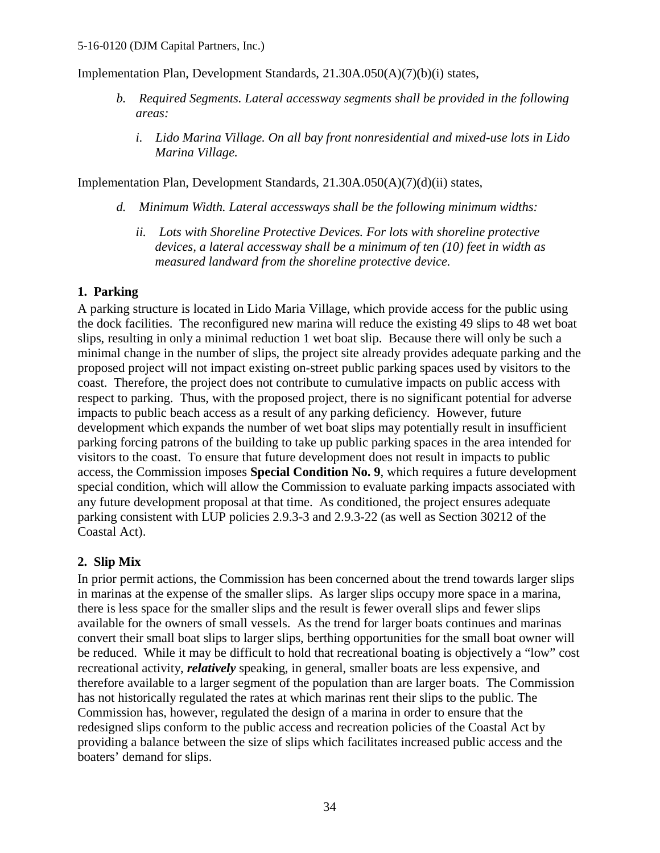Implementation Plan, Development Standards, 21.30A.050(A)(7)(b)(i) states,

- *b. Required Segments. Lateral accessway segments shall be provided in the following areas:* 
	- *i. Lido Marina Village. On all bay front nonresidential and mixed-use lots in Lido Marina Village.*

Implementation Plan, Development Standards, 21.30A.050(A)(7)(d)(ii) states,

- *d. Minimum Width. Lateral accessways shall be the following minimum widths:* 
	- *ii. Lots with Shoreline Protective Devices. For lots with shoreline protective devices, a lateral accessway shall be a minimum of ten (10) feet in width as measured landward from the shoreline protective device.*

### **1. Parking**

A parking structure is located in Lido Maria Village, which provide access for the public using the dock facilities. The reconfigured new marina will reduce the existing 49 slips to 48 wet boat slips, resulting in only a minimal reduction 1 wet boat slip. Because there will only be such a minimal change in the number of slips, the project site already provides adequate parking and the proposed project will not impact existing on-street public parking spaces used by visitors to the coast. Therefore, the project does not contribute to cumulative impacts on public access with respect to parking. Thus, with the proposed project, there is no significant potential for adverse impacts to public beach access as a result of any parking deficiency. However, future development which expands the number of wet boat slips may potentially result in insufficient parking forcing patrons of the building to take up public parking spaces in the area intended for visitors to the coast. To ensure that future development does not result in impacts to public access, the Commission imposes **Special Condition No. 9**, which requires a future development special condition, which will allow the Commission to evaluate parking impacts associated with any future development proposal at that time. As conditioned, the project ensures adequate parking consistent with LUP policies 2.9.3-3 and 2.9.3-22 (as well as Section 30212 of the Coastal Act).

### **2. Slip Mix**

In prior permit actions, the Commission has been concerned about the trend towards larger slips in marinas at the expense of the smaller slips. As larger slips occupy more space in a marina, there is less space for the smaller slips and the result is fewer overall slips and fewer slips available for the owners of small vessels. As the trend for larger boats continues and marinas convert their small boat slips to larger slips, berthing opportunities for the small boat owner will be reduced. While it may be difficult to hold that recreational boating is objectively a "low" cost recreational activity, *relatively* speaking, in general, smaller boats are less expensive, and therefore available to a larger segment of the population than are larger boats. The Commission has not historically regulated the rates at which marinas rent their slips to the public. The Commission has, however, regulated the design of a marina in order to ensure that the redesigned slips conform to the public access and recreation policies of the Coastal Act by providing a balance between the size of slips which facilitates increased public access and the boaters' demand for slips.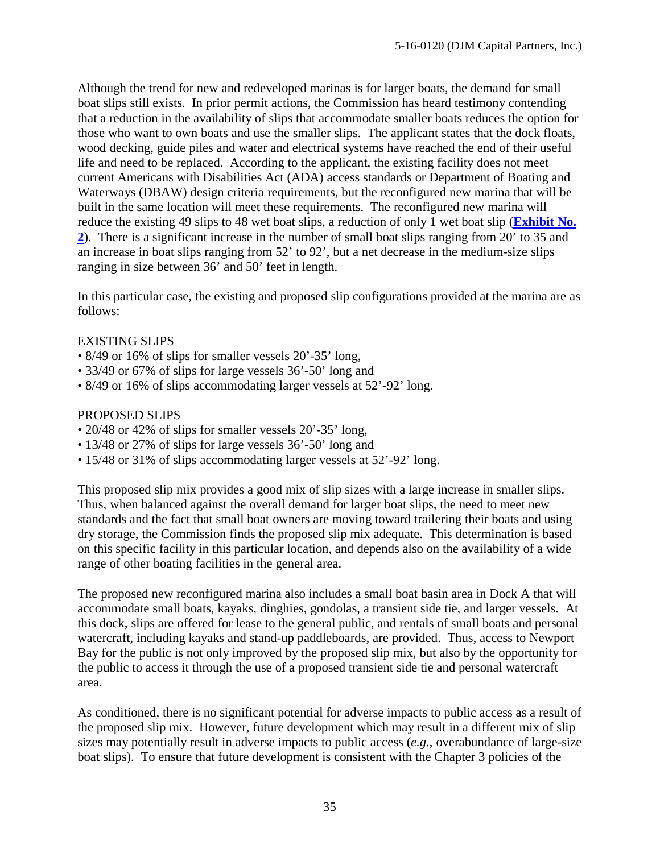Although the trend for new and redeveloped marinas is for larger boats, the demand for small boat slips still exists. In prior permit actions, the Commission has heard testimony contending that a reduction in the availability of slips that accommodate smaller boats reduces the option for those who want to own boats and use the smaller slips. The applicant states that the dock floats, wood decking, guide piles and water and electrical systems have reached the end of their useful life and need to be replaced. According to the applicant, the existing facility does not meet current Americans with Disabilities Act (ADA) access standards or Department of Boating and Waterways (DBAW) design criteria requirements, but the reconfigured new marina that will be built in the same location will meet these requirements. The reconfigured new marina will reduce the existing 49 slips to 48 wet boat slips, a reduction of only 1 wet boat slip (**[Exhibit No.](https://documents.coastal.ca.gov/reports/2017/5/F11a/F11a-5-2017-exhibits.pdf)  [2](https://documents.coastal.ca.gov/reports/2017/5/F11a/F11a-5-2017-exhibits.pdf)**). There is a significant increase in the number of small boat slips ranging from 20' to 35 and an increase in boat slips ranging from 52' to 92', but a net decrease in the medium-size slips ranging in size between 36' and 50' feet in length.

In this particular case, the existing and proposed slip configurations provided at the marina are as follows:

### EXISTING SLIPS

- 8/49 or 16% of slips for smaller vessels 20'-35' long,
- 33/49 or 67% of slips for large vessels 36'-50' long and
- 8/49 or 16% of slips accommodating larger vessels at 52'-92' long.

### PROPOSED SLIPS

- 20/48 or 42% of slips for smaller vessels 20'-35' long,
- 13/48 or 27% of slips for large vessels 36'-50' long and
- 15/48 or 31% of slips accommodating larger vessels at 52'-92' long.

This proposed slip mix provides a good mix of slip sizes with a large increase in smaller slips. Thus, when balanced against the overall demand for larger boat slips, the need to meet new standards and the fact that small boat owners are moving toward trailering their boats and using dry storage, the Commission finds the proposed slip mix adequate. This determination is based on this specific facility in this particular location, and depends also on the availability of a wide range of other boating facilities in the general area.

The proposed new reconfigured marina also includes a small boat basin area in Dock A that will accommodate small boats, kayaks, dinghies, gondolas, a transient side tie, and larger vessels. At this dock, slips are offered for lease to the general public, and rentals of small boats and personal watercraft, including kayaks and stand-up paddleboards, are provided. Thus, access to Newport Bay for the public is not only improved by the proposed slip mix, but also by the opportunity for the public to access it through the use of a proposed transient side tie and personal watercraft area.

As conditioned, there is no significant potential for adverse impacts to public access as a result of the proposed slip mix. However, future development which may result in a different mix of slip sizes may potentially result in adverse impacts to public access (*e.g.*, overabundance of large-size boat slips). To ensure that future development is consistent with the Chapter 3 policies of the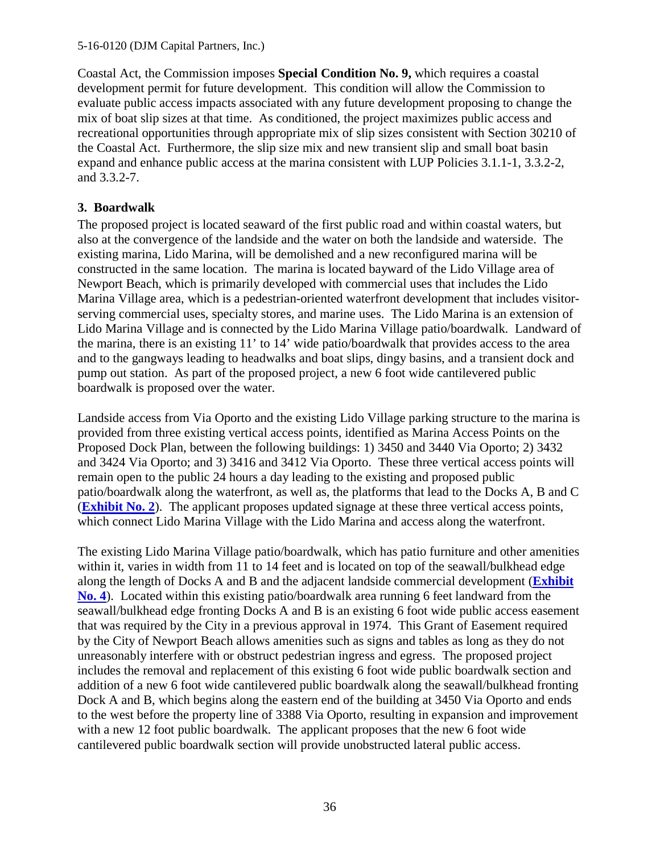Coastal Act, the Commission imposes **Special Condition No. 9,** which requires a coastal development permit for future development. This condition will allow the Commission to evaluate public access impacts associated with any future development proposing to change the mix of boat slip sizes at that time. As conditioned, the project maximizes public access and recreational opportunities through appropriate mix of slip sizes consistent with Section 30210 of the Coastal Act. Furthermore, the slip size mix and new transient slip and small boat basin expand and enhance public access at the marina consistent with LUP Policies 3.1.1-1, 3.3.2-2, and 3.3.2-7.

## **3. Boardwalk**

The proposed project is located seaward of the first public road and within coastal waters, but also at the convergence of the landside and the water on both the landside and waterside. The existing marina, Lido Marina, will be demolished and a new reconfigured marina will be constructed in the same location. The marina is located bayward of the Lido Village area of Newport Beach, which is primarily developed with commercial uses that includes the Lido Marina Village area, which is a pedestrian-oriented waterfront development that includes visitorserving commercial uses, specialty stores, and marine uses. The Lido Marina is an extension of Lido Marina Village and is connected by the Lido Marina Village patio/boardwalk. Landward of the marina, there is an existing 11' to 14' wide patio/boardwalk that provides access to the area and to the gangways leading to headwalks and boat slips, dingy basins, and a transient dock and pump out station. As part of the proposed project, a new 6 foot wide cantilevered public boardwalk is proposed over the water.

Landside access from Via Oporto and the existing Lido Village parking structure to the marina is provided from three existing vertical access points, identified as Marina Access Points on the Proposed Dock Plan, between the following buildings: 1) 3450 and 3440 Via Oporto; 2) 3432 and 3424 Via Oporto; and 3) 3416 and 3412 Via Oporto. These three vertical access points will remain open to the public 24 hours a day leading to the existing and proposed public patio/boardwalk along the waterfront, as well as, the platforms that lead to the Docks A, B and C (**[Exhibit No. 2](https://documents.coastal.ca.gov/reports/2017/5/F11a/F11a-5-2017-exhibits.pdf)**). The applicant proposes updated signage at these three vertical access points, which connect Lido Marina Village with the Lido Marina and access along the waterfront.

The existing Lido Marina Village patio/boardwalk, which has patio furniture and other amenities within it, varies in width from 11 to 14 feet and is located on top of the seawall/bulkhead edge along the length of Docks A and B and the adjacent landside commercial development (**[Exhibit](https://documents.coastal.ca.gov/reports/2017/5/F11a/F11a-5-2017-exhibits.pdf)  [No. 4](https://documents.coastal.ca.gov/reports/2017/5/F11a/F11a-5-2017-exhibits.pdf)**). Located within this existing patio/boardwalk area running 6 feet landward from the seawall/bulkhead edge fronting Docks A and B is an existing 6 foot wide public access easement that was required by the City in a previous approval in 1974. This Grant of Easement required by the City of Newport Beach allows amenities such as signs and tables as long as they do not unreasonably interfere with or obstruct pedestrian ingress and egress. The proposed project includes the removal and replacement of this existing 6 foot wide public boardwalk section and addition of a new 6 foot wide cantilevered public boardwalk along the seawall/bulkhead fronting Dock A and B, which begins along the eastern end of the building at 3450 Via Oporto and ends to the west before the property line of 3388 Via Oporto, resulting in expansion and improvement with a new 12 foot public boardwalk. The applicant proposes that the new 6 foot wide cantilevered public boardwalk section will provide unobstructed lateral public access.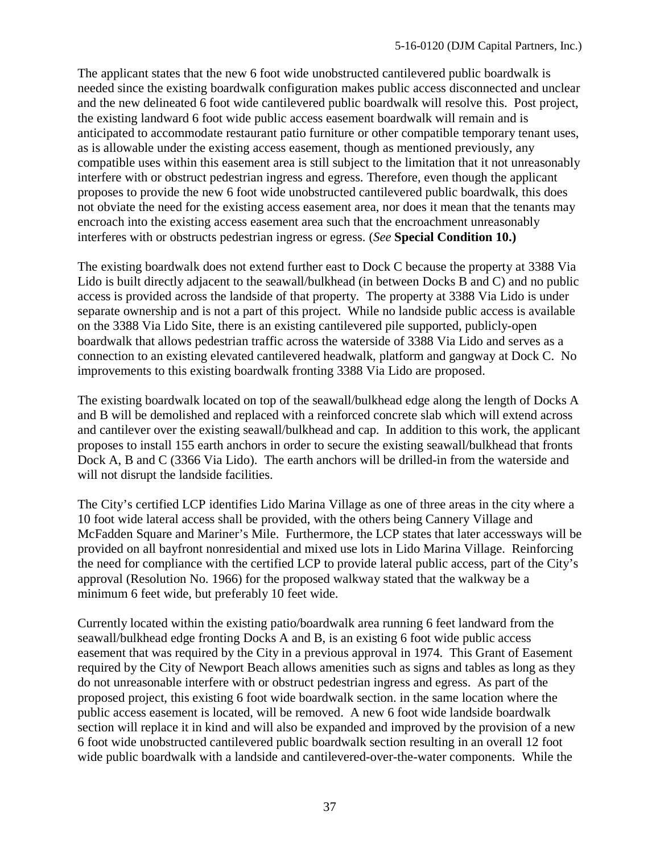The applicant states that the new 6 foot wide unobstructed cantilevered public boardwalk is needed since the existing boardwalk configuration makes public access disconnected and unclear and the new delineated 6 foot wide cantilevered public boardwalk will resolve this. Post project, the existing landward 6 foot wide public access easement boardwalk will remain and is anticipated to accommodate restaurant patio furniture or other compatible temporary tenant uses, as is allowable under the existing access easement, though as mentioned previously, any compatible uses within this easement area is still subject to the limitation that it not unreasonably interfere with or obstruct pedestrian ingress and egress. Therefore, even though the applicant proposes to provide the new 6 foot wide unobstructed cantilevered public boardwalk, this does not obviate the need for the existing access easement area, nor does it mean that the tenants may encroach into the existing access easement area such that the encroachment unreasonably interferes with or obstructs pedestrian ingress or egress. (*See* **Special Condition 10.)** 

The existing boardwalk does not extend further east to Dock C because the property at 3388 Via Lido is built directly adjacent to the seawall/bulkhead (in between Docks B and C) and no public access is provided across the landside of that property. The property at 3388 Via Lido is under separate ownership and is not a part of this project. While no landside public access is available on the 3388 Via Lido Site, there is an existing cantilevered pile supported, publicly-open boardwalk that allows pedestrian traffic across the waterside of 3388 Via Lido and serves as a connection to an existing elevated cantilevered headwalk, platform and gangway at Dock C. No improvements to this existing boardwalk fronting 3388 Via Lido are proposed.

The existing boardwalk located on top of the seawall/bulkhead edge along the length of Docks A and B will be demolished and replaced with a reinforced concrete slab which will extend across and cantilever over the existing seawall/bulkhead and cap. In addition to this work, the applicant proposes to install 155 earth anchors in order to secure the existing seawall/bulkhead that fronts Dock A, B and C (3366 Via Lido). The earth anchors will be drilled-in from the waterside and will not disrupt the landside facilities.

The City's certified LCP identifies Lido Marina Village as one of three areas in the city where a 10 foot wide lateral access shall be provided, with the others being Cannery Village and McFadden Square and Mariner's Mile. Furthermore, the LCP states that later accessways will be provided on all bayfront nonresidential and mixed use lots in Lido Marina Village. Reinforcing the need for compliance with the certified LCP to provide lateral public access, part of the City's approval (Resolution No. 1966) for the proposed walkway stated that the walkway be a minimum 6 feet wide, but preferably 10 feet wide.

Currently located within the existing patio/boardwalk area running 6 feet landward from the seawall/bulkhead edge fronting Docks A and B, is an existing 6 foot wide public access easement that was required by the City in a previous approval in 1974. This Grant of Easement required by the City of Newport Beach allows amenities such as signs and tables as long as they do not unreasonable interfere with or obstruct pedestrian ingress and egress. As part of the proposed project, this existing 6 foot wide boardwalk section. in the same location where the public access easement is located, will be removed. A new 6 foot wide landside boardwalk section will replace it in kind and will also be expanded and improved by the provision of a new 6 foot wide unobstructed cantilevered public boardwalk section resulting in an overall 12 foot wide public boardwalk with a landside and cantilevered-over-the-water components. While the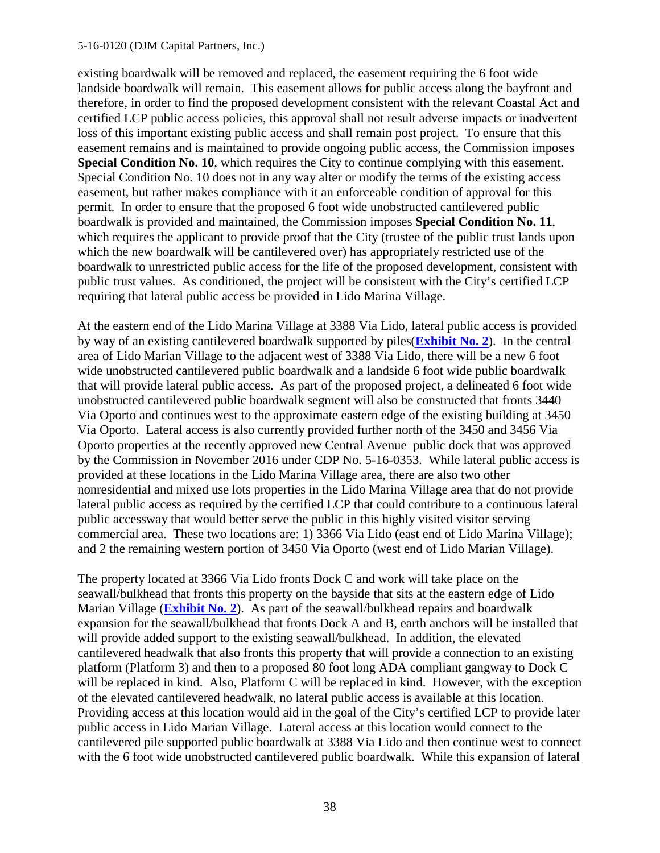#### 5-16-0120 (DJM Capital Partners, Inc.)

existing boardwalk will be removed and replaced, the easement requiring the 6 foot wide landside boardwalk will remain. This easement allows for public access along the bayfront and therefore, in order to find the proposed development consistent with the relevant Coastal Act and certified LCP public access policies, this approval shall not result adverse impacts or inadvertent loss of this important existing public access and shall remain post project. To ensure that this easement remains and is maintained to provide ongoing public access, the Commission imposes **Special Condition No. 10**, which requires the City to continue complying with this easement. Special Condition No. 10 does not in any way alter or modify the terms of the existing access easement, but rather makes compliance with it an enforceable condition of approval for this permit. In order to ensure that the proposed 6 foot wide unobstructed cantilevered public boardwalk is provided and maintained, the Commission imposes **Special Condition No. 11**, which requires the applicant to provide proof that the City (trustee of the public trust lands upon which the new boardwalk will be cantilevered over) has appropriately restricted use of the boardwalk to unrestricted public access for the life of the proposed development, consistent with public trust values. As conditioned, the project will be consistent with the City's certified LCP requiring that lateral public access be provided in Lido Marina Village.

At the eastern end of the Lido Marina Village at 3388 Via Lido, lateral public access is provided by way of an existing cantilevered boardwalk supported by piles(**[Exhibit No. 2](https://documents.coastal.ca.gov/reports/2017/5/F11a/F11a-5-2017-exhibits.pdf)**). In the central area of Lido Marian Village to the adjacent west of 3388 Via Lido, there will be a new 6 foot wide unobstructed cantilevered public boardwalk and a landside 6 foot wide public boardwalk that will provide lateral public access. As part of the proposed project, a delineated 6 foot wide unobstructed cantilevered public boardwalk segment will also be constructed that fronts 3440 Via Oporto and continues west to the approximate eastern edge of the existing building at 3450 Via Oporto. Lateral access is also currently provided further north of the 3450 and 3456 Via Oporto properties at the recently approved new Central Avenue public dock that was approved by the Commission in November 2016 under CDP No. 5-16-0353. While lateral public access is provided at these locations in the Lido Marina Village area, there are also two other nonresidential and mixed use lots properties in the Lido Marina Village area that do not provide lateral public access as required by the certified LCP that could contribute to a continuous lateral public accessway that would better serve the public in this highly visited visitor serving commercial area. These two locations are: 1) 3366 Via Lido (east end of Lido Marina Village); and 2 the remaining western portion of 3450 Via Oporto (west end of Lido Marian Village).

The property located at 3366 Via Lido fronts Dock C and work will take place on the seawall/bulkhead that fronts this property on the bayside that sits at the eastern edge of Lido Marian Village (**[Exhibit No. 2](https://documents.coastal.ca.gov/reports/2017/5/F11a/F11a-5-2017-exhibits.pdf)**). As part of the seawall/bulkhead repairs and boardwalk expansion for the seawall/bulkhead that fronts Dock A and B, earth anchors will be installed that will provide added support to the existing seawall/bulkhead. In addition, the elevated cantilevered headwalk that also fronts this property that will provide a connection to an existing platform (Platform 3) and then to a proposed 80 foot long ADA compliant gangway to Dock C will be replaced in kind. Also, Platform C will be replaced in kind. However, with the exception of the elevated cantilevered headwalk, no lateral public access is available at this location. Providing access at this location would aid in the goal of the City's certified LCP to provide later public access in Lido Marian Village. Lateral access at this location would connect to the cantilevered pile supported public boardwalk at 3388 Via Lido and then continue west to connect with the 6 foot wide unobstructed cantilevered public boardwalk. While this expansion of lateral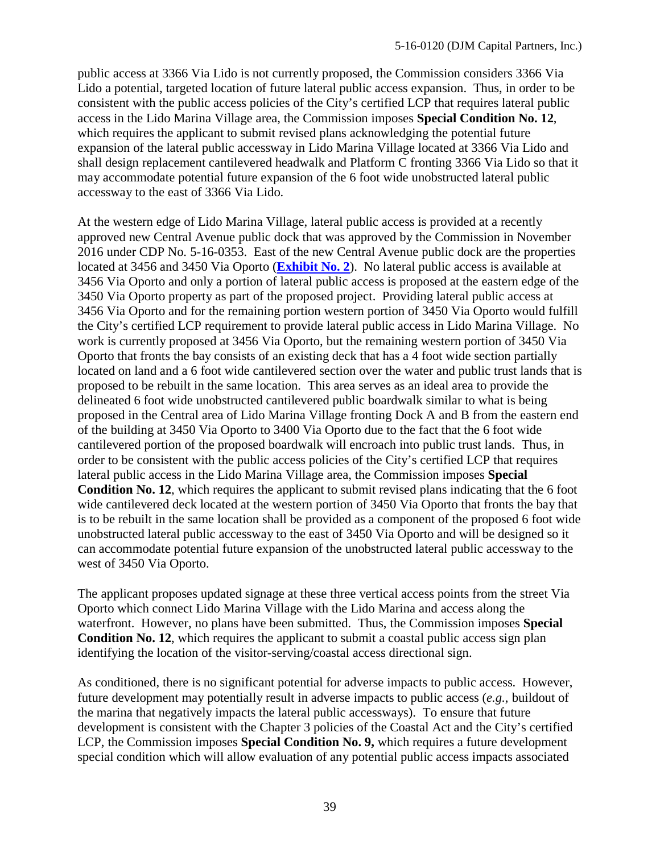public access at 3366 Via Lido is not currently proposed, the Commission considers 3366 Via Lido a potential, targeted location of future lateral public access expansion. Thus, in order to be consistent with the public access policies of the City's certified LCP that requires lateral public access in the Lido Marina Village area, the Commission imposes **Special Condition No. 12**, which requires the applicant to submit revised plans acknowledging the potential future expansion of the lateral public accessway in Lido Marina Village located at 3366 Via Lido and shall design replacement cantilevered headwalk and Platform C fronting 3366 Via Lido so that it may accommodate potential future expansion of the 6 foot wide unobstructed lateral public accessway to the east of 3366 Via Lido.

At the western edge of Lido Marina Village, lateral public access is provided at a recently approved new Central Avenue public dock that was approved by the Commission in November 2016 under CDP No. 5-16-0353. East of the new Central Avenue public dock are the properties located at 3456 and 3450 Via Oporto (**[Exhibit No. 2](https://documents.coastal.ca.gov/reports/2017/5/F11a/F11a-5-2017-exhibits.pdf)**). No lateral public access is available at 3456 Via Oporto and only a portion of lateral public access is proposed at the eastern edge of the 3450 Via Oporto property as part of the proposed project. Providing lateral public access at 3456 Via Oporto and for the remaining portion western portion of 3450 Via Oporto would fulfill the City's certified LCP requirement to provide lateral public access in Lido Marina Village. No work is currently proposed at 3456 Via Oporto, but the remaining western portion of 3450 Via Oporto that fronts the bay consists of an existing deck that has a 4 foot wide section partially located on land and a 6 foot wide cantilevered section over the water and public trust lands that is proposed to be rebuilt in the same location. This area serves as an ideal area to provide the delineated 6 foot wide unobstructed cantilevered public boardwalk similar to what is being proposed in the Central area of Lido Marina Village fronting Dock A and B from the eastern end of the building at 3450 Via Oporto to 3400 Via Oporto due to the fact that the 6 foot wide cantilevered portion of the proposed boardwalk will encroach into public trust lands. Thus, in order to be consistent with the public access policies of the City's certified LCP that requires lateral public access in the Lido Marina Village area, the Commission imposes **Special Condition No. 12**, which requires the applicant to submit revised plans indicating that the 6 foot wide cantilevered deck located at the western portion of 3450 Via Oporto that fronts the bay that is to be rebuilt in the same location shall be provided as a component of the proposed 6 foot wide unobstructed lateral public accessway to the east of 3450 Via Oporto and will be designed so it can accommodate potential future expansion of the unobstructed lateral public accessway to the west of 3450 Via Oporto.

The applicant proposes updated signage at these three vertical access points from the street Via Oporto which connect Lido Marina Village with the Lido Marina and access along the waterfront. However, no plans have been submitted. Thus, the Commission imposes **Special Condition No. 12**, which requires the applicant to submit a coastal public access sign plan identifying the location of the visitor-serving/coastal access directional sign.

As conditioned, there is no significant potential for adverse impacts to public access. However, future development may potentially result in adverse impacts to public access (*e.g.*, buildout of the marina that negatively impacts the lateral public accessways). To ensure that future development is consistent with the Chapter 3 policies of the Coastal Act and the City's certified LCP, the Commission imposes **Special Condition No. 9,** which requires a future development special condition which will allow evaluation of any potential public access impacts associated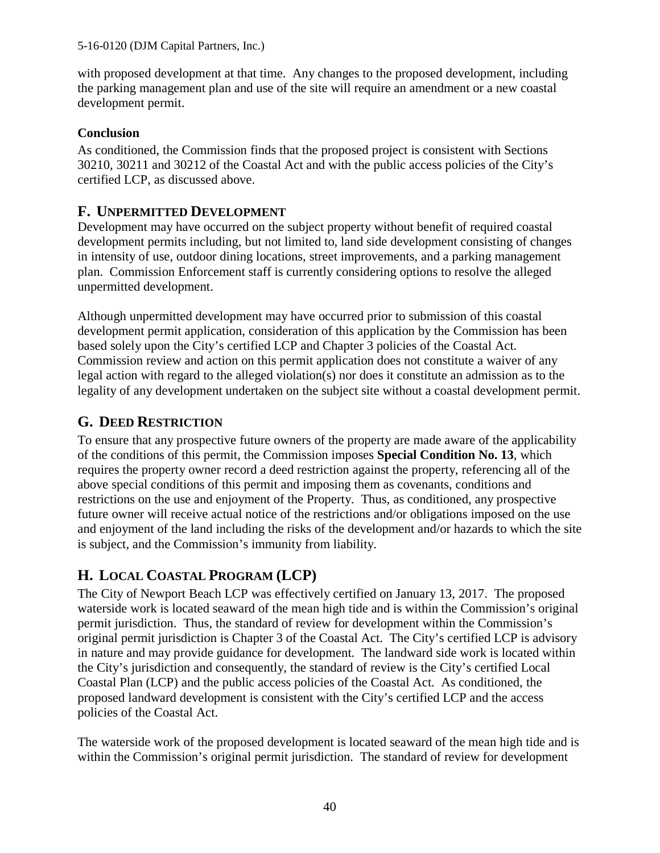with proposed development at that time. Any changes to the proposed development, including the parking management plan and use of the site will require an amendment or a new coastal development permit.

## **Conclusion**

As conditioned, the Commission finds that the proposed project is consistent with Sections 30210, 30211 and 30212 of the Coastal Act and with the public access policies of the City's certified LCP, as discussed above.

# <span id="page-39-0"></span>**F. UNPERMITTED DEVELOPMENT**

Development may have occurred on the subject property without benefit of required coastal development permits including, but not limited to, land side development consisting of changes in intensity of use, outdoor dining locations, street improvements, and a parking management plan. Commission Enforcement staff is currently considering options to resolve the alleged unpermitted development.

Although unpermitted development may have occurred prior to submission of this coastal development permit application, consideration of this application by the Commission has been based solely upon the City's certified LCP and Chapter 3 policies of the Coastal Act. Commission review and action on this permit application does not constitute a waiver of any legal action with regard to the alleged violation(s) nor does it constitute an admission as to the legality of any development undertaken on the subject site without a coastal development permit.

# <span id="page-39-1"></span>**G. DEED RESTRICTION**

To ensure that any prospective future owners of the property are made aware of the applicability of the conditions of this permit, the Commission imposes **Special Condition No. 13**, which requires the property owner record a deed restriction against the property, referencing all of the above special conditions of this permit and imposing them as covenants, conditions and restrictions on the use and enjoyment of the Property. Thus, as conditioned, any prospective future owner will receive actual notice of the restrictions and/or obligations imposed on the use and enjoyment of the land including the risks of the development and/or hazards to which the site is subject, and the Commission's immunity from liability.

# <span id="page-39-2"></span>**H. LOCAL COASTAL PROGRAM (LCP)**

The City of Newport Beach LCP was effectively certified on January 13, 2017. The proposed waterside work is located seaward of the mean high tide and is within the Commission's original permit jurisdiction. Thus, the standard of review for development within the Commission's original permit jurisdiction is Chapter 3 of the Coastal Act. The City's certified LCP is advisory in nature and may provide guidance for development. The landward side work is located within the City's jurisdiction and consequently, the standard of review is the City's certified Local Coastal Plan (LCP) and the public access policies of the Coastal Act. As conditioned, the proposed landward development is consistent with the City's certified LCP and the access policies of the Coastal Act.

The waterside work of the proposed development is located seaward of the mean high tide and is within the Commission's original permit jurisdiction. The standard of review for development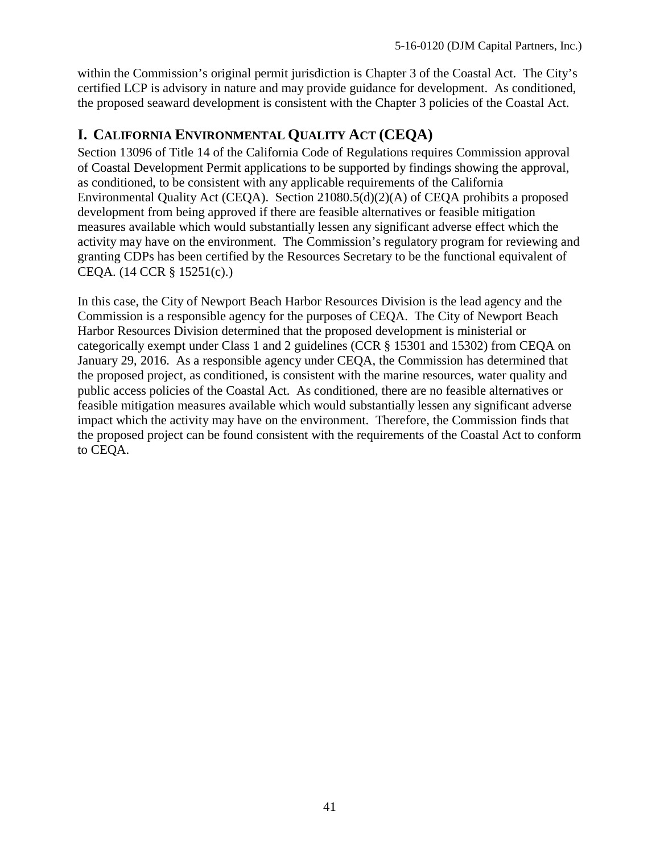within the Commission's original permit jurisdiction is Chapter 3 of the Coastal Act. The City's certified LCP is advisory in nature and may provide guidance for development. As conditioned, the proposed seaward development is consistent with the Chapter 3 policies of the Coastal Act.

# <span id="page-40-0"></span>**I. CALIFORNIA ENVIRONMENTAL QUALITY ACT (CEQA)**

Section 13096 of Title 14 of the California Code of Regulations requires Commission approval of Coastal Development Permit applications to be supported by findings showing the approval, as conditioned, to be consistent with any applicable requirements of the California Environmental Quality Act (CEQA). Section 21080.5(d)(2)(A) of CEQA prohibits a proposed development from being approved if there are feasible alternatives or feasible mitigation measures available which would substantially lessen any significant adverse effect which the activity may have on the environment. The Commission's regulatory program for reviewing and granting CDPs has been certified by the Resources Secretary to be the functional equivalent of CEQA. (14 CCR § 15251(c).)

In this case, the City of Newport Beach Harbor Resources Division is the lead agency and the Commission is a responsible agency for the purposes of CEQA. The City of Newport Beach Harbor Resources Division determined that the proposed development is ministerial or categorically exempt under Class 1 and 2 guidelines (CCR § 15301 and 15302) from CEQA on January 29, 2016. As a responsible agency under CEQA, the Commission has determined that the proposed project, as conditioned, is consistent with the marine resources, water quality and public access policies of the Coastal Act. As conditioned, there are no feasible alternatives or feasible mitigation measures available which would substantially lessen any significant adverse impact which the activity may have on the environment. Therefore, the Commission finds that the proposed project can be found consistent with the requirements of the Coastal Act to conform to CEQA.